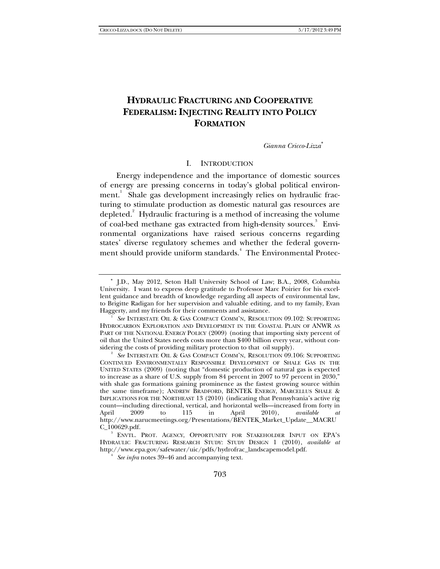# **HYDRAULIC FRACTURING AND COOPERATIVE FEDERALISM: INJECTING REALITY INTO POLICY FORMATION**

*Gianna Cricco-Lizza*<sup>∗</sup>

### I. INTRODUCTION

Energy independence and the importance of domestic sources of energy are pressing concerns in today's global political environment.<sup>1</sup> Shale gas development increasingly relies on hydraulic fracturing to stimulate production as domestic natural gas resources are depleted. $^{2}$  Hydraulic fracturing is a method of increasing the volume of coal-bed methane gas extracted from high-density sources.<sup>3</sup> Environmental organizations have raised serious concerns regarding states' diverse regulatory schemes and whether the federal government should provide uniform standards.<sup>4</sup> The Environmental Protec-

<sup>∗</sup> J.D., May 2012, Seton Hall University School of Law; B.A., 2008, Columbia University. I want to express deep gratitude to Professor Marc Poirier for his excellent guidance and breadth of knowledge regarding all aspects of environmental law, to Brigitte Radigan for her supervision and valuable editing, and to my family, Evan Haggerty, and my friends for their comments and assistance. 1

*See* INTERSTATE OIL & GAS COMPACT COMM'N, RESOLUTION 09.102: SUPPORTING HYDROCARBON EXPLORATION AND DEVELOPMENT IN THE COASTAL PLAIN OF ANWR AS PART OF THE NATIONAL ENERGY POLICY (2009) (noting that importing sixty percent of oil that the United States needs costs more than \$400 billion every year, without considering the costs of providing military protection to that oil supply). 2

*See* INTERSTATE OIL & GAS COMPACT COMM'N, RESOLUTION 09.106: SUPPORTING CONTINUED ENVIRONMENTALLY RESPONSIBLE DEVELOPMENT OF SHALE GAS IN THE UNITED STATES (2009) (noting that "domestic production of natural gas is expected to increase as a share of U.S. supply from 84 percent in 2007 to 97 percent in 2030," with shale gas formations gaining prominence as the fastest growing source within the same timeframe); ANDREW BRADFORD, BENTEK ENERGY, MARCELLUS SHALE & IMPLICATIONS FOR THE NORTHEAST 13 (2010) (indicating that Pennsylvania's active rig count—including directional, vertical, and horizontal wells—increased from forty in April 2009 to 115 in April 2010), *available at* http://www.narucmeetings.org/Presentations/BENTEK\_Market\_Update\_\_MACRU C\_100629.pdf.

ENVTL. PROT. AGENCY, OPPORTUNITY FOR STAKEHOLDER INPUT ON EPA'S HYDRAULIC FRACTURING RESEARCH STUDY: STUDY DESIGN 1 (2010), *available at*  http://www.epa.gov/safewater/uic/pdfs/hydrofrac\_landscapemodel.pdf.

<sup>4</sup>  *See infra* notes 39–46 and accompanying text.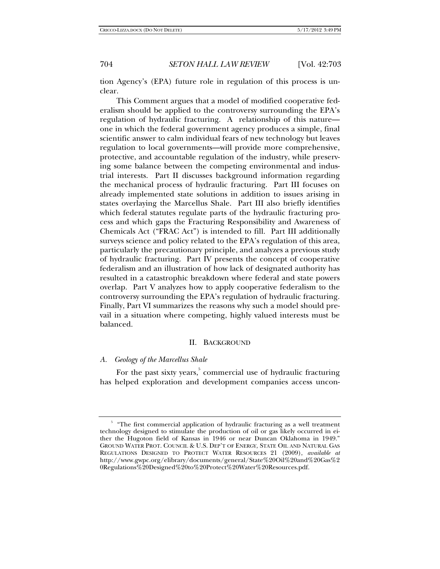tion Agency's (EPA) future role in regulation of this process is unclear.

This Comment argues that a model of modified cooperative federalism should be applied to the controversy surrounding the EPA's regulation of hydraulic fracturing. A relationship of this nature one in which the federal government agency produces a simple, final scientific answer to calm individual fears of new technology but leaves regulation to local governments—will provide more comprehensive, protective, and accountable regulation of the industry, while preserving some balance between the competing environmental and industrial interests. Part II discusses background information regarding the mechanical process of hydraulic fracturing. Part III focuses on already implemented state solutions in addition to issues arising in states overlaying the Marcellus Shale. Part III also briefly identifies which federal statutes regulate parts of the hydraulic fracturing process and which gaps the Fracturing Responsibility and Awareness of Chemicals Act ("FRAC Act") is intended to fill. Part III additionally surveys science and policy related to the EPA's regulation of this area, particularly the precautionary principle, and analyzes a previous study of hydraulic fracturing. Part IV presents the concept of cooperative federalism and an illustration of how lack of designated authority has resulted in a catastrophic breakdown where federal and state powers overlap. Part V analyzes how to apply cooperative federalism to the controversy surrounding the EPA's regulation of hydraulic fracturing. Finally, Part VI summarizes the reasons why such a model should prevail in a situation where competing, highly valued interests must be balanced.

### II. BACKGROUND

## *A. Geology of the Marcellus Shale*

For the past sixty years,<sup>5</sup> commercial use of hydraulic fracturing has helped exploration and development companies access uncon-

<sup>&</sup>lt;sup>5</sup> "The first commercial application of hydraulic fracturing as a well treatment technology designed to stimulate the production of oil or gas likely occurred in either the Hugoton field of Kansas in 1946 or near Duncan Oklahoma in 1949." GROUND WATER PROT. COUNCIL & U.S. DEP'T OF ENERGY, STATE OIL AND NATURAL GAS REGULATIONS DESIGNED TO PROTECT WATER RESOURCES 21 (2009), *available at* http://www.gwpc.org/elibrary/documents/general/State%20Oil%20and%20Gas%2 0Regulations%20Designed%20to%20Protect%20Water%20Resources.pdf.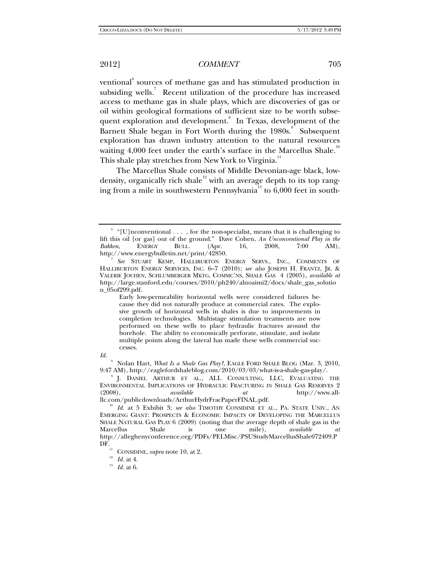ventional $^6$  sources of methane gas and has stimulated production in subsiding wells.<sup>7</sup> Recent utilization of the procedure has increased access to methane gas in shale plays, which are discoveries of gas or oil within geological formations of sufficient size to be worth subsequent exploration and development. In Texas, development of the Barnett Shale began in Fort Worth during the 1980s.<sup>9</sup> Subsequent exploration has drawn industry attention to the natural resources waiting  $4,000$  feet under the earth's surface in the Marcellus Shale.<sup>1</sup> This shale play stretches from New York to Virginia.<sup>11</sup>

The Marcellus Shale consists of Middle Devonian-age black, lowdensity, organically rich shale<sup>12</sup> with an average depth to its top ranging from a mile in southwestern Pennsylvania<sup>13</sup> to  $6,000$  feet in south-

Early low-permeability horizontal wells were considered failures because they did not naturally produce at commercial rates. The explosive growth of horizontal wells in shales is due to improvements in completion technologies. Multistage stimulation treatments are now performed on these wells to place hydraulic fractures around the borehole. The ability to economically perforate, stimulate, and isolate multiple points along the lateral has made these wells commercial successes.

8 Nolan Hart, *What Is a Shale Gas Play?*, EAGLE FORD SHALE BLOG (Mar. 3, 2010, 9:47 AM), http://eaglefordshaleblog.com/2010/03/03/what-is-a-shale-gas-play/. 9

<sup>&</sup>lt;sup>6</sup> "[U]nconventional . . . , for the non-specialist, means that it is challenging to lift this oil [or gas] out of the ground." Dave Cohen, *An Unconventional Play in the Bakken*, ENERGY BULL. (Apr. 16, 2008, 7:00 AM), http://www.energybulletin.net/print/42850.

*See* STUART KEMP, HALLIBURTON ENERGY SERVS., INC., COMMENTS OF HALLIBURTON ENERGY SERVICES, INC. 6–7 (2010); *see also* JOSEPH H. FRANTZ, JR. & VALERIE JOCHEN, SCHLUMBERGER MKTG. COMMC'NS, SHALE GAS 4 (2005), *available at* http://large.stanford.edu/courses/2010/ph240/alnoaimi2/docs/shale\_gas\_solutio n\_05of299.pdf.

*Id.*

<sup>&</sup>lt;sup>9</sup> J. DANIEL ARTHUR ET AL., ALL CONSULTING, LLC, EVALUATING THE ENVIRONMENTAL IMPLICATIONS OF HYDRAULIC FRACTURING IN SHALE GAS RESERVES 2 (2008), *available at* http://www.all-

<sup>&</sup>lt;sup>10</sup> Id. at 5 Exhibit 3; *see also* TIMOTHY CONSIDINE ET AL., PA. STATE UNIV., AN EMERGING GIANT: PROSPECTS & ECONOMIC IMPACTS OF DEVELOPING THE MARCELLUS SHALE NATURAL GAS PLAY 6 (2009) (noting that the average depth of shale gas in the Marcellus Shale is one mile), *available at* http://alleghenyconference.org/PDFs/PELMisc/PSUStudyMarcellusShale072409.P **DF.** 11 CONSIDINE, *supra* note 10, at 2. <sup>12</sup> *Id.* at 4. <sup>13</sup> *Id.* at 6.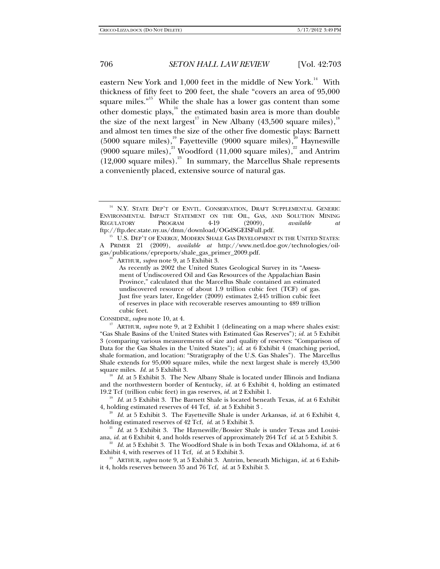eastern New York and 1,000 feet in the middle of New York.<sup>14</sup> With thickness of fifty feet to 200 feet, the shale "covers an area of 95,000 square miles."<sup>15</sup> While the shale has a lower gas content than some other domestic plays, $^{16}$  the estimated basin area is more than double the size of the next largest<sup>17</sup> in New Albany (43,500 square miles),<sup>18</sup> and almost ten times the size of the other five domestic plays: Barnett (5000 square miles),<sup>19</sup> Fayetteville (9000 square miles),<sup>20</sup> Haynesville (9000 square miles),<sup>21</sup> Woodford (11,000 square miles),<sup>22</sup> and Antrim  $(12,000 \text{ square miles})$ .<sup>23</sup> In summary, the Marcellus Shale represents a conveniently placed, extensive source of natural gas.

As recently as 2002 the United States Geological Survey in its "Assessment of Undiscovered Oil and Gas Resources of the Appalachian Basin Province," calculated that the Marcellus Shale contained an estimated undiscovered resource of about 1.9 trillion cubic feet (TCF) of gas. Just five years later, Engelder (2009) estimates 2,445 trillion cubic feet of reserves in place with recoverable reserves amounting to 489 trillion cubic feet.

CONSIDINE, *supra* note 10, at 4.<br><sup>17</sup> ARTHUR, *supra* note 9, at 2 Exhibit 1 (delineating on a map where shales exist: "Gas Shale Basins of the United States with Estimated Gas Reserves"); *id.* at 5 Exhibit 3 (comparing various measurements of size and quality of reserves: "Comparison of Data for the Gas Shales in the United States"); *id.* at 6 Exhibit 4 (matching period, shale formation, and location: "Stratigraphy of the U.S. Gas Shales"). The Marcellus Shale extends for 95,000 square miles, while the next largest shale is merely 43,500 square miles. *Id.* at 5 Exhibit 3.

<sup>18</sup> Id. at 5 Exhibit 3. The New Albany Shale is located under Illinois and Indiana and the northwestern border of Kentucky, *id.* at 6 Exhibit 4, holding an estimated 19.2 Tcf (trillion cubic feet) in gas reserves, *id.* at 2 Exhibit 1.

<sup>19</sup> Id. at 5 Exhibit 3. The Barnett Shale is located beneath Texas, *id.* at 6 Exhibit 4, holding estimated reserves of 44 Tcf, *id.* at 5 Exhibit 3.

<sup>20</sup> Id. at 5 Exhibit 3. The Fayetteville Shale is under Arkansas, *id.* at 6 Exhibit 4, holding estimated reserves of 42 Tcf, *id.* at 5 Exhibit 3.

<sup>21</sup> Id. at 5 Exhibit 3. The Haynesville/Bossier Shale is under Texas and Louisiana, *id.* at 6 Exhibit 4, and holds reserves of approximately 264 Tcf *id*. at 5 Exhibit 3.

<sup>22</sup> *Id.* at 5 Exhibit 3. The Woodford Shale is in both Texas and Oklahoma, *id.* at 6 Exhibit 4, with reserves of 11 Tcf, *id.* at 5 Exhibit 3.

<sup>23</sup> ARTHUR, *supra* note 9, at 5 Exhibit 3. Antrim, beneath Michigan, *id.* at 6 Exhibit 4, holds reserves between 35 and 76 Tcf, *id.* at 5 Exhibit 3.

<sup>&</sup>lt;sup>14</sup> N.Y. STATE DEP'T OF ENVTL. CONSERVATION, DRAFT SUPPLEMENTAL GENERIC ENVIRONMENTAL IMPACT STATEMENT ON THE OIL, GAS, AND SOLUTION MINING REGULATORY PROGRAM 4-19 (2009), *available at* the://ftp.dec.state.ny.us/dmn/download/OGdSGEISFull.pdf.

 $^{15}$  U.S. Dep't of Energy, Modern Shale Gas Development in the United States: A PRIMER 21 (2009), *available at* http://www.netl.doe.gov/technologies/oilgas/publications/epreports/shale\_gas\_primer\_2009.pdf. 16 ARTHUR, *supra* note 9, at 5 Exhibit 3.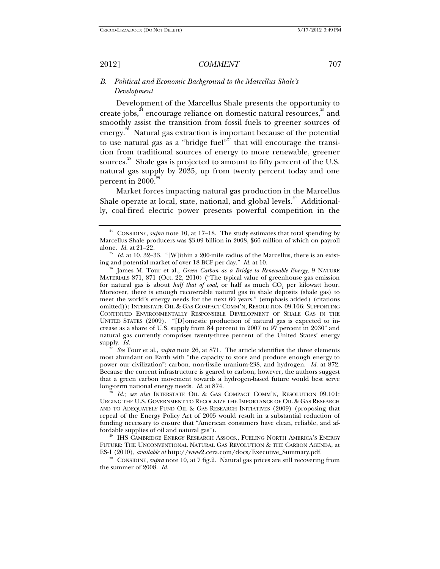*B. Political and Economic Background to the Marcellus Shale's Development* 

Development of the Marcellus Shale presents the opportunity to create jobs,  $34$  encourage reliance on domestic natural resources,  $35$  and smoothly assist the transition from fossil fuels to greener sources of energy.<sup>26</sup> Natural gas extraction is important because of the potential to use natural gas as a "bridge fuel"<sup>27</sup> that will encourage the transition from traditional sources of energy to more renewable, greener sources.<sup>28</sup> Shale gas is projected to amount to fifty percent of the U.S. natural gas supply by 2035, up from twenty percent today and one percent in  $2000$ <sup>2</sup>

Market forces impacting natural gas production in the Marcellus Shale operate at local, state, national, and global levels.<sup>30</sup> Additionally, coal-fired electric power presents powerful competition in the

<sup>27</sup> *See* Tour et al., *supra* note 26, at 871. The article identifies the three elements most abundant on Earth with "the capacity to store and produce enough energy to power our civilization": carbon, non-fissile uranium-238, and hydrogen. *Id.* at 872. Because the current infrastructure is geared to carbon, however, the authors suggest that a green carbon movement towards a hydrogen-based future would best serve long-term national energy needs. *Id.* at 874.<br><sup>28</sup> *Id.*; *see also* INTERSTATE OIL & GAS COMPACT COMM'N, RESOLUTION 09.101:

URGING THE U.S. GOVERNMENT TO RECOGNIZE THE IMPORTANCE OF OIL & GAS RESEARCH AND TO ADEQUATELY FUND OIL & GAS RESEARCH INITIATIVES (2009) (proposing that repeal of the Energy Policy Act of 2005 would result in a substantial reduction of funding necessary to ensure that "American consumers have clean, reliable, and af-<br>fordable supplies of oil and natural gas").

<sup>29</sup> IHS CAMBRIDGE ENERGY RESEARCH ASSOCS., FUELING NORTH AMERICA'S ENERGY FUTURE: THE UNCONVENTIONAL NATURAL GAS REVOLUTION & THE CARBON AGENDA, at

ES-1 (2010), *available at* http://www2.cera.com/docs/Executive\_Summary.pdf. 30 CONSIDINE, *supra* note 10, at 7 fig.2. Natural gas prices are still recovering from the summer of 2008. *Id.*

<sup>24</sup> CONSIDINE, *supra* note 10, at 17–18. The study estimates that total spending by Marcellus Shale producers was \$3.09 billion in 2008, \$66 million of which on payroll alone. *Id.* at 21–22*.*

<sup>&</sup>lt;sup>25</sup> Id. at 10, 32–33. "[W]ithin a 200-mile radius of the Marcellus, there is an exist-<br>ing and potential market of over 18 BCF per day." Id. at 10.

James M. Tour et al., *Green Carbon as a Bridge to Renewable Energy*, 9 NATURE MATERIALS 871, 871 (Oct. 22, 2010) ("The typical value of greenhouse gas emission for natural gas is about *half that of coal*, or half as much CO<sub>2</sub> per kilowatt hour. Moreover, there is enough recoverable natural gas in shale deposits (shale gas) to meet the world's energy needs for the next 60 years." (emphasis added) (citations omitted)); INTERSTATE OIL & GAS COMPACT COMM'N, RESOLUTION 09.106: SUPPORTING CONTINUED ENVIRONMENTALLY RESPONSIBLE DEVELOPMENT OF SHALE GAS IN THE UNITED STATES (2009). "[D]omestic production of natural gas is expected to increase as a share of U.S. supply from 84 percent in 2007 to 97 percent in 2030" and natural gas currently comprises twenty-three percent of the United States' energy supply. *Id.*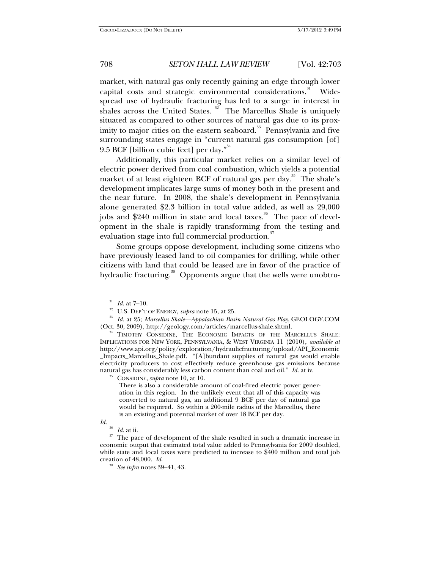market, with natural gas only recently gaining an edge through lower capital costs and strategic environmental considerations.<sup>31</sup> Widespread use of hydraulic fracturing has led to a surge in interest in shales across the United States.  $32^{\circ}$  The Marcellus Shale is uniquely situated as compared to other sources of natural gas due to its proximity to major cities on the eastern seaboard.<sup>33</sup> Pennsylvania and five surrounding states engage in "current natural gas consumption [of] 9.5 BCF [billion cubic feet] per day." $34$ 

Additionally, this particular market relies on a similar level of electric power derived from coal combustion, which yields a potential market of at least eighteen BCF of natural gas per day.<sup>35</sup> The shale's development implicates large sums of money both in the present and the near future. In 2008, the shale's development in Pennsylvania alone generated \$2.3 billion in total value added, as well as 29,000 jobs and \$240 million in state and local taxes.<sup>36</sup> The pace of development in the shale is rapidly transforming from the testing and evaluation stage into full commercial production.<sup>37</sup>

Some groups oppose development, including some citizens who have previously leased land to oil companies for drilling, while other citizens with land that could be leased are in favor of the practice of hydraulic fracturing.<sup>38</sup> Opponents argue that the wells were unobtru-

There is also a considerable amount of coal-fired electric power generation in this region. In the unlikely event that all of this capacity was converted to natural gas, an additional 9 BCF per day of natural gas would be required. So within a 200-mile radius of the Marcellus, there is an existing and potential market of over 18 BCF per day.

<sup>&</sup>lt;sup>31</sup> *Id.* at 7–10.<br><sup>32</sup> U.S. DEP'T OF ENERGY, *supra* note 15, at 25.<br><sup>33</sup> *Id.* at 25; *Marcellus Shale—Appalachian Basin Natural Gas Play*, GEOLOGY.COM<br>(Oct. 30, 2009), http://geology.com/articles/marcellus-shale.shtml.

<sup>&</sup>lt;sup>4</sup> TIMOTHY CONSIDINE, THE ECONOMIC IMPACTS OF THE MARCELLUS SHALE: IMPLICATIONS FOR NEW YORK, PENNSYLVANIA, & WEST VIRGINIA 11 (2010), *available at* http://www.api.org/policy/exploration/hydraulicfracturing/upload/API\_Economic \_Impacts\_Marcellus\_Shale.pdf. "[A]bundant supplies of natural gas would enable electricity producers to cost effectively reduce greenhouse gas emissions because natural gas has considerably less carbon content than coal and oil." *Id.* at iv. 35 CONSIDINE, *supra* note 10, at 10.

*Id.*

 $\frac{36}{37}$  *Id.* at ii.  $\frac{37}{37}$  The pace of development of the shale resulted in such a dramatic increase in economic output that estimated total value added to Pennsylvania for 2009 doubled, while state and local taxes were predicted to increase to \$400 million and total job creation of 48,000. *Id.* 

<sup>38</sup> *See infra* notes 39–41, 43.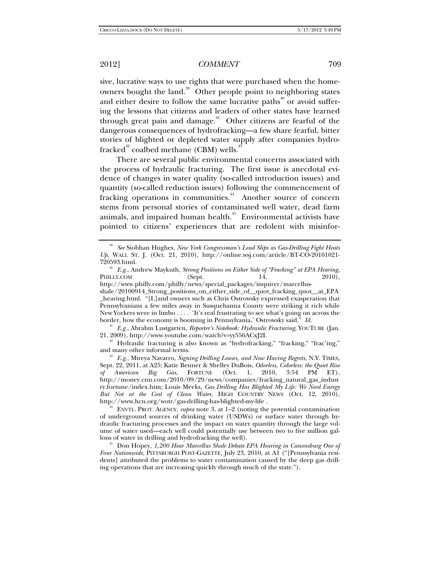sive, lucrative ways to use rights that were purchased when the homeowners bought the land.<sup>39</sup> Other people point to neighboring states and either desire to follow the same lucrative paths $40^{\circ}$  or avoid suffering the lessons that citizens and leaders of other states have learned through great pain and damage.<sup> $41$ </sup> Other citizens are fearful of the dangerous consequences of hydrofracking—a few share fearful, bitter stories of blighted or depleted water supply after companies hydrofracked<sup>42</sup> coalbed methane (CBM) wells.<sup>4</sup>

There are several public environmental concerns associated with the process of hydraulic fracturing. The first issue is anecdotal evidence of changes in water quality (so-called introduction issues) and quantity (so-called reduction issues) following the commencement of fracking operations in communities.<sup>44</sup> Another source of concern stems from personal stories of contaminated well water, dead farm animals, and impaired human health.<sup> $45$ </sup> Environmental activists have pointed to citizens' experiences that are redolent with misinfor-

<sup>41</sup> E.g., Abrahm Lustgarten, *Reporter's Notebook: Hydraulic Fracturing*, YOUTUBE (Jan. 21, 2009), http://www.youtube.com/watch?v=yy556ACxJ2I.

<sup>42</sup> Hydraulic fracturing is also known as "hydrofracking," "fracking," "frac'ing," and many other informal terms.

<sup>39</sup> *See* Siobhan Hughes, *New York Congressman's Lead Slips as Gas-Drilling Fight Heats Up*, WALL ST. J. (Oct. 21, 2010), http://online.wsj.com/article/BT-CO-20101021-720593.html.

<sup>&</sup>lt;sup>40</sup> *E.g.*, Andrew Maykuth, *Strong Positions on Either Side of "Fracking" at EPA Hearing*, LLY.COM (Sept. 14, 2010), PHILLY.COM http://www.philly.com/philly/news/special\_packages/inquirer/marcellusshale/20100914\_Strong\_positions\_on\_either\_side\_of\_\_quot\_fracking\_quot\_\_at\_EPA \_hearing.html. "[L]and owners such as Chris Ostrowsky expressed exasperation that Pennsylvanians a few miles away in Susquehanna County were striking it rich while New Yorkers were in limbo . . . . 'It's real frustrating to see what's going on across the border, how the economy is booming in Pennsylvania,' Ostrowsky said." *Id.* 

<sup>&</sup>lt;sup>43</sup> E.g., Mireya Navarro, *Signing Drilling Leases, and Now Having Regrets*, N.Y. TIMES, Sept. 22, 2011, at A25; Katie Benner & Shelley DuBois, *Odorless, Colorless: the Quiet Rise of American Big Gas*, FORTUNE (Oct. 1, 2010, 3:54 PM ET), http://money.cnn.com/2010/09/29/news/companies/fracking\_natural\_gas\_indust ry.fortune/index.htm; Louis Meeks, *Gas Drilling Has Blighted My Life: We Need Energy But Not at the Cost of Clean Water*, HIGH COUNTRY NEWS (Oct. 12, 2010), http://www.hcn.org/wotr/gas-drilling-has-blighted-my-life . 44 ENVTL. PROT. AGENCY, *supra* note 3, at 1–2 (noting the potential contamination

of underground sources of drinking water (USDWs) or surface water through hydraulic fracturing processes and the impact on water quantity through the large volume of water used—each well could potentially use between two to five million gallons of water in drilling and hydrofracking the well).

<sup>&</sup>lt;sup>45</sup> Don Hopey, *1,200 Hear Marcellus Shale Debate EPA Hearing in Canonsburg One of Four Nationwide*, PITTSBURGH POST-GAZETTE, July 23, 2010, at A1 ("[Pennsylvania residents] attributed the problems to water contamination caused by the deep gas drilling operations that are increasing quickly through much of the state.").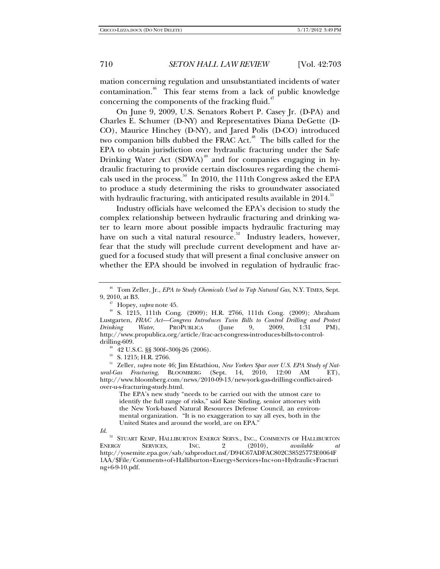mation concerning regulation and unsubstantiated incidents of water contamination.<sup>46</sup> This fear stems from a lack of public knowledge concerning the components of the fracking fluid.<sup>47</sup>

On June 9, 2009, U.S. Senators Robert P. Casey Jr. (D-PA) and Charles E. Schumer (D-NY) and Representatives Diana DeGette (D-CO), Maurice Hinchey (D-NY), and Jared Polis (D-CO) introduced two companion bills dubbed the FRAC Act.<sup>48</sup> The bills called for the EPA to obtain jurisdiction over hydraulic fracturing under the Safe Drinking Water Act  $(SDWA)^{49}$  and for companies engaging in hydraulic fracturing to provide certain disclosures regarding the chemicals used in the process.<sup>50</sup> In 2010, the 111th Congress asked the EPA to produce a study determining the risks to groundwater associated with hydraulic fracturing, with anticipated results available in  $2014$ .<sup>51</sup>

Industry officials have welcomed the EPA's decision to study the complex relationship between hydraulic fracturing and drinking water to learn more about possible impacts hydraulic fracturing may have on such a vital natural resource.<sup>52</sup> Industry leaders, however, fear that the study will preclude current development and have argued for a focused study that will present a final conclusive answer on whether the EPA should be involved in regulation of hydraulic frac-

50 S. 1215; H.R. 2766.

51 Zeller, *supra* note 46; Jim Efstathiou, *New Yorkers Spar over U.S. EPA Study of Natural-Gas Fracturing*, BLOOMBERG (Sept. 14, 2010, 12:00 AM ET), http://www.bloomberg.com/news/2010-09-13/new-york-gas-drilling-conflict-airedover-u-s-fracturing-study.html.

The EPA's new study "needs to be carried out with the utmost care to identify the full range of risks," said Kate Sinding, senior attorney with the New York-based Natural Resources Defense Council, an environmental organization. "It is no exaggeration to say all eyes, both in the United States and around the world, are on EPA."

<sup>46</sup> Tom Zeller, Jr., *EPA to Study Chemicals Used to Tap Natural Gas*, N.Y. TIMES, Sept.

<sup>&</sup>lt;sup>47</sup> Hopey, *supra* note 45. <br><sup>48</sup> S. 1215, 111th Cong. (2009); H.R. 2766, 111th Cong. (2009); Abraham Lustgarten, *FRAC Act—Congress Introduces Twin Bills to Control Drilling and Protect Drinking Water*, PROPUBLICA (June 9, 2009, 1:31 PM), http://www.propublica.org/article/frac-act-congress-introduces-bills-to-control-

 $49$  42 U.S.C. §§ 300f–300j-26 (2006).

*Id*.

<sup>&</sup>lt;sup>52</sup> STUART KEMP, HALLIBURTON ENERGY SERVS., INC., COMMENTS OF HALLIBURTON ENERGY SERVICES. INC.  $2(2010)$ , *available at* ENERGY SERVICES, INC. 2 (2010), *available at*  http://yosemite.epa.gov/sab/sabproduct.nsf/D94C67ADFAC802C38525773E0064F 1AA/\$File/Comments+of+Halliburton+Energy+Services+Inc+on+Hydraulic+Fracturi ng+6-9-10.pdf.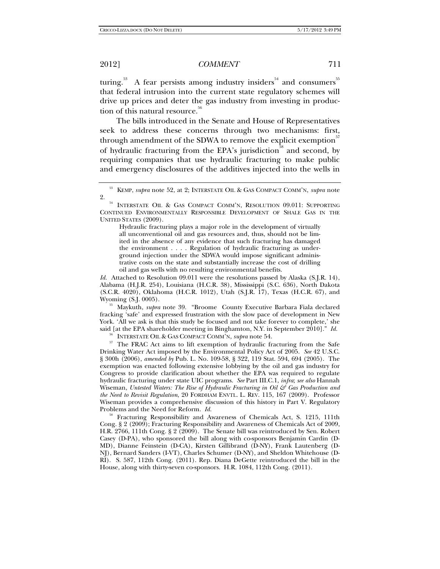turing.<sup>53</sup> A fear persists among industry insiders<sup>54</sup> and consumers<sup>55</sup> that federal intrusion into the current state regulatory schemes will drive up prices and deter the gas industry from investing in production of this natural resource.<sup>56</sup>

The bills introduced in the Senate and House of Representatives seek to address these concerns through two mechanisms: first, through amendment of the SDWA to remove the explicit exemption<sup>37</sup> of hydraulic fracturing from the EPA's jurisdiction<sup>88</sup> and second, by requiring companies that use hydraulic fracturing to make public and emergency disclosures of the additives injected into the wells in

Hydraulic fracturing plays a major role in the development of virtually all unconventional oil and gas resources and, thus, should not be limited in the absence of any evidence that such fracturing has damaged the environment . . . . Regulation of hydraulic fracturing as underground injection under the SDWA would impose significant administrative costs on the state and substantially increase the cost of drilling oil and gas wells with no resulting environmental benefits.

Id. Attached to Resolution 09.011 were the resolutions passed by Alaska (S.J.R. 14), Alabama (H.J.R. 254), Louisiana (H.C.R. 38), Mississippi (S.C. 636), North Dakota  $(S.C.R. 4020)$ , Oklahoma (H.C.R. 1012), Utah  $(S.J.R. 17)$ , Texas (H.C.R. 67), and Wyoming (S.J. 0005).

<sup>55</sup> Maykuth, *supra* note 39. "Broome County Executive Barbara Fiala declared fracking 'safe' and expressed frustration with the slow pace of development in New York. 'All we ask is that this study be focused and not take forever to complete,' she said [at the EPA shareholder meeting in Binghamton, N.Y. in September 2010]." *Id.*

<sup>56</sup> INTERSTATE OIL & GAS COMPACT COMM'N, *supra* note 54.<br><sup>57</sup> The FRAC Act aims to lift exemption of hydraulic fracturing from the Safe Drinking Water Act imposed by the Environmental Policy Act of 2005. *See* 42 U.S.C. § 300h (2006), *amended by* Pub. L. No. 109-58, § 322, 119 Stat. 594, 694 (2005). The exemption was enacted following extensive lobbying by the oil and gas industry for Congress to provide clarification about whether the EPA was required to regulate hydraulic fracturing under state UIC programs. *See* Part III.C.1, *infra*; *see also* Hannah Wiseman, *Untested Waters: The Rise of Hydraulic Fracturing in Oil & Gas Production and the Need to Revisit Regulation*, 20 FORDHAM ENVTL. L. REV. 115, 167 (2009). Professor Wiseman provides a comprehensive discussion of this history in Part V. Regulatory Problems and the Need for Reform. *Id.* 

<sup>58</sup> Fracturing Responsibility and Awareness of Chemicals Act, S. 1215, 111th Cong. § 2 (2009); Fracturing Responsibility and Awareness of Chemicals Act of 2009, H.R. 2766, 111th Cong. § 2 (2009). The Senate bill was reintroduced by Sen. Robert Casey (D-PA), who sponsored the bill along with co-sponsors Benjamin Cardin (D-MD), Dianne Feinstein (D-CA), Kirsten Gillibrand (D-NY), Frank Lautenberg (D-NJ), Bernard Sanders (I-VT), Charles Schumer (D-NY), and Sheldon Whitehouse (D-RI). S. 587, 112th Cong. (2011). Rep. Diana DeGette reintroduced the bill in the House, along with thirty-seven co-sponsors. H.R. 1084, 112th Cong. (2011).

<sup>53</sup> KEMP, *supra* note 52, at 2; INTERSTATE OIL & GAS COMPACT COMM'N, *supra* note

 $^{2.}$   $\,$  INTERSTATE OIL & GAS COMPACT COMM'N, RESOLUTION 09.011: SUPPORTING CONTINUED ENVIRONMENTALLY RESPONSIBLE DEVELOPMENT OF SHALE GAS IN THE UNITED STATES (2009).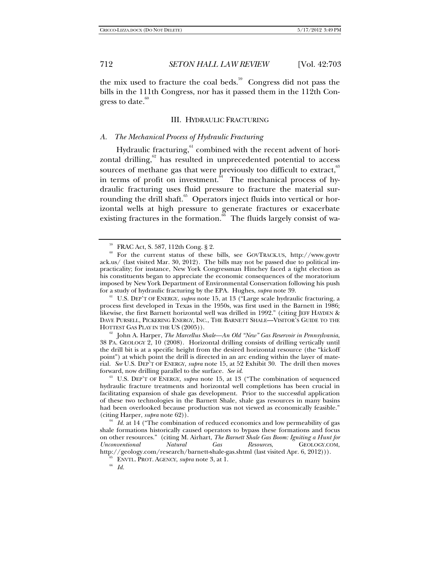the mix used to fracture the coal beds.<sup>59</sup> Congress did not pass the bills in the 111th Congress, nor has it passed them in the 112th Congress to date. $60$ 

## III. HYDRAULIC FRACTURING

## *A. The Mechanical Process of Hydraulic Fracturing*

Hydraulic fracturing, $61$  combined with the recent advent of horizontal drilling, $62$  has resulted in unprecedented potential to access sources of methane gas that were previously too difficult to extract,  $63$ in terms of profit on investment.<sup>64</sup> The mechanical process of hydraulic fracturing uses fluid pressure to fracture the material surrounding the drill shaft.<sup>65</sup> Operators inject fluids into vertical or horizontal wells at high pressure to generate fractures or exacerbate existing fractures in the formation.<sup>66</sup> The fluids largely consist of wa-

<sup>61</sup> U.S. DEP'T OF ENERGY, *supra* note 15, at 13 ("Large scale hydraulic fracturing, a process first developed in Texas in the 1950s, was first used in the Barnett in 1986; likewise, the first Barnett horizontal well was drilled in 1992." (citing JEFF HAYDEN & DAVE PURSELL, PICKERING ENERGY, INC., THE BARNETT SHALE—VISITOR'S GUIDE TO THE

HOTTEST GAS PLAY IN THE US (2005)).<br><sup>62</sup> John A. Harper, *The Marcellus Shale—An Old "New" Gas Reservoir in Pennsylvania*, 38 PA. GEOLOGY 2, 10 (2008). Horizontal drilling consists of drilling vertically until the drill bit is at a specific height from the desired horizontal resource (the "kickoff point") at which point the drill is directed in an arc ending within the layer of material. *See* U.S. DEP'T OF ENERGY, *supra* note 15, at 52 Exhibit 30. The drill then moves forward, now drilling parallel to the surface. *See id*. 63 U.S. DEP'T OF ENERGY, *supra* note 15, at 13 ("The combination of sequenced

hydraulic fracture treatments and horizontal well completions has been crucial in facilitating expansion of shale gas development. Prior to the successful application of these two technologies in the Barnett Shale, shale gas resources in many basins had been overlooked because production was not viewed as economically feasible." (citing Harper, *supra* note 62)).

<sup>64</sup> Id. at 14 ("The combination of reduced economics and low permeability of gas shale formations historically caused operators to bypass these formations and focus on other resources." (citing M. Airhart, *The Barnett Shale Gas Boom: Igniting a Hunt for Unconventional Natural Gas Resources*, GEOLOGY.COM, http://geology.com/research/barnett-shale-gas.shtml (last visited Apr. 6, 2012))). 65 ENVTL. PROT. AGENCY, *supra* note 3, at 1. 66 *Id.*

<sup>59</sup> FRAC Act, S. 587, 112th Cong. § 2.

<sup>60</sup> For the current status of these bills, see GOVTRACK.US, http://www.govtr ack.us/ (last visited Mar. 30, 2012). The bills may not be passed due to political impracticality; for instance, New York Congressman Hinchey faced a tight election as his constituents began to appreciate the economic consequences of the moratorium imposed by New York Department of Environmental Conservation following his push<br>for a study of hydraulic fracturing by the EPA. Hughes, *supra* note 39.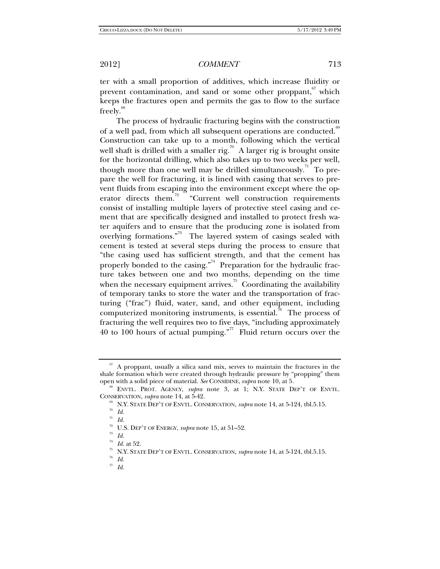ter with a small proportion of additives, which increase fluidity or prevent contamination, and sand or some other proppant, which keeps the fractures open and permits the gas to flow to the surface freely.<sup>68</sup>

The process of hydraulic fracturing begins with the construction of a well pad, from which all subsequent operations are conducted.<sup>69</sup> Construction can take up to a month, following which the vertical well shaft is drilled with a smaller rig.<sup>70</sup> A larger rig is brought onsite for the horizontal drilling, which also takes up to two weeks per well, though more than one well may be drilled simultaneously.<sup> $\pi$ </sup> To prepare the well for fracturing, it is lined with casing that serves to prevent fluids from escaping into the environment except where the operator directs them.<sup>72</sup> "Current well construction requirements consist of installing multiple layers of protective steel casing and cement that are specifically designed and installed to protect fresh water aquifers and to ensure that the producing zone is isolated from overlying formations."<sup>73</sup> The layered system of casings sealed with cement is tested at several steps during the process to ensure that "the casing used has sufficient strength, and that the cement has properly bonded to the casing."<sup>4</sup> Preparation for the hydraulic fracture takes between one and two months, depending on the time when the necessary equipment arrives.<sup>75</sup> Coordinating the availability of temporary tanks to store the water and the transportation of fracturing ("frac") fluid, water, sand, and other equipment, including computerized monitoring instruments, is essential.<sup>76</sup> The process of fracturing the well requires two to five days, "including approximately 40 to 100 hours of actual pumping."<sup>77</sup> Fluid return occurs over the

 $67$  A proppant, usually a silica sand mix, serves to maintain the fractures in the shale formation which were created through hydraulic pressure by "propping" them<br>open with a solid piece of material. See CONSIDINE, *subra* note 10, at 5.

<sup>&</sup>lt;sup>68</sup> ENVTL. PROT. AGENCY, *supra* note 3, at 1; N.Y. STATE DEP'T OF ENVTL. CONSERVATION, *supra* note 14, at 5-42.

<sup>&</sup>lt;sup>69</sup> N.Y. STATE DEP'T OF ENVTL. CONSERVATION, *supra* note 14, at 5-124, tbl.5.15. *To Id.* 

<sup>71</sup> *Id.*

<sup>&</sup>lt;sup>72</sup> U.S. DEP'T OF ENERGY, *supra* note 15, at 51–52.<br><sup>73</sup> *Id.*<br><sup>74</sup> *Id.* at 52.

<sup>74</sup> *Id.* at 52. 75 N.Y. STATE DEP'T OF ENVTL. CONSERVATION, *supra* note 14, at 5-124, tbl.5.15. 76 *Id.*

<sup>77</sup> *Id.*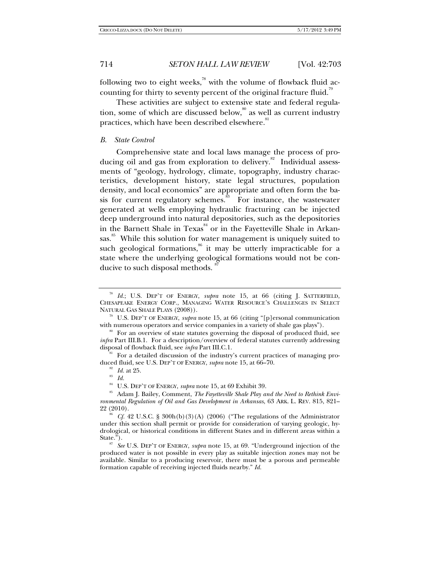following two to eight weeks, $^{78}$  with the volume of flowback fluid accounting for thirty to seventy percent of the original fracture fluid.<sup>79</sup>

These activities are subject to extensive state and federal regulation, some of which are discussed below,  $\degree$  as well as current industry practices, which have been described elsewhere.<sup>81</sup>

### *B. State Control*

Comprehensive state and local laws manage the process of producing oil and gas from exploration to delivery.<sup>82</sup> Individual assessments of "geology, hydrology, climate, topography, industry characteristics, development history, state legal structures, population density, and local economics" are appropriate and often form the basis for current regulatory schemes.<sup>85</sup> For instance, the wastewater generated at wells employing hydraulic fracturing can be injected deep underground into natural depositories, such as the depositories in the Barnett Shale in Texas<sup>84</sup> or in the Fayetteville Shale in Arkansas.<sup>85</sup> While this solution for water management is uniquely suited to such geological formations,<sup>86</sup> it may be utterly impracticable for a state where the underlying geological formations would not be conducive to such disposal methods.

<sup>78</sup> *Id.*; U.S. DEP'T OF ENERGY, *supra* note 15, at 66 (citing J. SATTERFIELD, CHESAPEAKE ENERGY CORP., MANAGING WATER RESOURCE'S CHALLENGES IN SELECT

NATURAL GAS SHALE PLAYS (2008)).<br><sup>79</sup> U.S. DEP'T OF ENERGY, *supra* note 15, at 66 (citing "[p]ersonal communication<br>with numerous operators and service companies in a variety of shale gas plays").

<sup>&</sup>lt;sup>80</sup> For an overview of state statutes governing the disposal of produced fluid, see *infra* Part III.B.1. For a description/overview of federal statutes currently addressing disposal of flowback fluid, see *infra* Part III.C.1.

For a detailed discussion of the industry's current practices of managing produced fluid, see U.S. DEP'T OF ENERGY, *supra* note 15, at 66–70.<br><sup>82</sup> *Id.* at 25.<br><sup>84</sup> U.S. DEP'T OF ENERGY, *supra* note 15, at 69 Exhibit 39.

<sup>&</sup>lt;sup>85</sup> Adam J. Bailey, Comment, *The Fayetteville Shale Play and the Need to Rethink Environmental Regulation of Oil and Gas Development in Arkansas*, 63 ARK. L. REV. 815, 821–

<sup>22 (2010). 86</sup> *Cf.* 42 U.S.C. § 300h(b)(3)(A) (2006) ("The regulations of the Administrator under this section shall permit or provide for consideration of varying geologic, hydrological, or historical conditions in different States and in different areas within a State."). 87 *See* U.S. DEP'T OF ENERGY, *supra* note 15, at 69. "Underground injection of the

produced water is not possible in every play as suitable injection zones may not be available. Similar to a producing reservoir, there must be a porous and permeable formation capable of receiving injected fluids nearby." *Id.*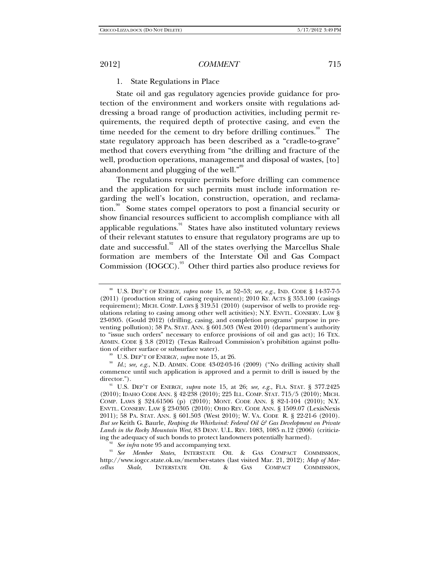### 1. State Regulations in Place

State oil and gas regulatory agencies provide guidance for protection of the environment and workers onsite with regulations addressing a broad range of production activities, including permit requirements, the required depth of protective casing, and even the time needed for the cement to dry before drilling continues.<sup>88</sup> The state regulatory approach has been described as a "cradle-to-grave" method that covers everything from "the drilling and fracture of the well, production operations, management and disposal of wastes, [to] abandonment and plugging of the well."<sup>89</sup>

The regulations require permits before drilling can commence and the application for such permits must include information regarding the well's location, construction, operation, and reclamation.<sup>90</sup> Some states compel operators to post a financial security or show financial resources sufficient to accomplish compliance with all applicable regulations.<sup>91</sup> States have also instituted voluntary reviews of their relevant statutes to ensure that regulatory programs are up to date and successful. $92$  All of the states overlying the Marcellus Shale formation are members of the Interstate Oil and Gas Compact Commission (IOGCC).<sup>93</sup> Other third parties also produce reviews for

<sup>92</sup> See infra note 95 and accompanying text.<br><sup>93</sup> See *Member States*, INTERSTATE OIL & GAS COMPACT COMMISSION, http://www.iogcc.state.ok.us/member-states (last visited Mar. 21, 2012); *Map of Marcellus Shale*, INTERSTATE OIL & GAS COMPACT COMMISSION,

<sup>88</sup> U.S. DEP'T OF ENERGY, *supra* note 15, at 52–53; *see, e.g.*, IND. CODE § 14-37-7-5 (2011) (production string of casing requirement); 2010 KY. ACTS § 353.100 (casings requirement); MICH. COMP. LAWS § 319.51 (2010) (supervisor of wells to provide regulations relating to casing among other well activities); N.Y. ENVTL. CONSERV. LAW § 23-0305. (Gould 2012) (drilling, casing, and completion programs' purpose in preventing pollution); 58 PA. STAT. ANN. § 601.503 (West 2010) (department's authority to "issue such orders" necessary to enforce provisions of oil and gas act); 16 TEX. ADMIN. CODE § 3.8 (2012) (Texas Railroad Commission's prohibition against pollution of either surface or subsurface water).

<sup>&</sup>lt;sup>89</sup> U.S. DEP'T OF ENERGY, *supra* note 15, at 26. *Id.*; *see, e.g.*, N.D. ADMIN. CODE 43-02-03-16 (2009) ("No drilling activity shall commence until such application is approved and a permit to drill is issued by the

<sup>&</sup>lt;sup>91</sup> U.S. DEP'T OF ENERGY, *supra* note 15, at 26; *see, e.g.*, FLA. STAT. § 377.2425 (2010); IDAHO CODE ANN. § 42-238 (2010); 225 ILL. COMP. STAT. 715/5 (2010); MICH. COMP. LAWS § 324.61506 (p) (2010); MONT. CODE ANN. § 82-1-104 (2010); N.Y. ENVTL. CONSERV. LAW § 23-0305 (2010); OHIO REV. CODE ANN. § 1509.07 (LexisNexis 2011); 58 PA. STAT. ANN. § 601.503 (West 2010); W. VA. CODE R. § 22-21-6 (2010). *But see* Keith G. Baurle, *Reaping the Whirlwind: Federal Oil & Gas Development on Private Lands in the Rocky Mountain West*, 83 DENV. U.L. REV. 1083, 1085 n.12 (2006) (criticiz-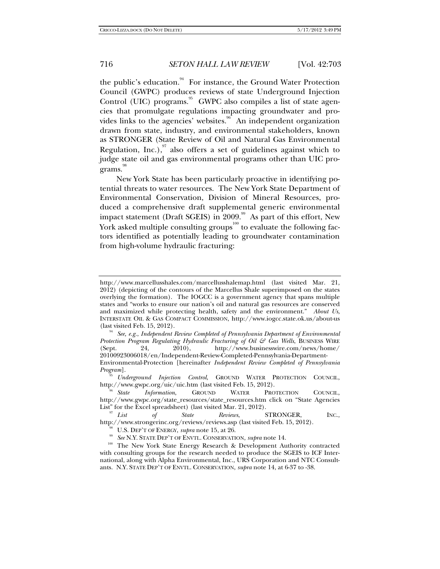the public's education. $94$  For instance, the Ground Water Protection Council (GWPC) produces reviews of state Underground Injection Control (UIC) programs.<sup>95</sup> GWPC also compiles a list of state agencies that promulgate regulations impacting groundwater and provides links to the agencies' websites.<sup>96</sup> An independent organization drawn from state, industry, and environmental stakeholders, known as STRONGER (State Review of Oil and Natural Gas Environmental Regulation, Inc.), also offers a set of guidelines against which to judge state oil and gas environmental programs other than UIC pro $grams.<sup>98</sup>$ 

New York State has been particularly proactive in identifying potential threats to water resources. The New York State Department of Environmental Conservation, Division of Mineral Resources, produced a comprehensive draft supplemental generic environmental impact statement (Draft SGEIS) in 2009.<sup>99</sup> As part of this effort, New York asked multiple consulting groups<sup>100</sup> to evaluate the following factors identified as potentially leading to groundwater contamination from high-volume hydraulic fracturing:

Environmental-Protection [hereinafter *Independent Review Completed of Pennsylvania Program*]. 95 *Underground Injection Control*, GROUND WATER PROTECTION COUNCIL,

http://www.gwpc.org/uic/uic.htm (last visited Feb. 15, 2012).<br><sup>96</sup> State *Information*, GROUND WATER PROTECTION COUNCIL,

http://www.gwpc.org/state\_resources/state\_resources.htm click on "State Agencies

List" for the Excel spreadsheet) (last visited Mar. 21, 2012).<br><sup>97</sup> List of State Reviews, STRONGER, INC., http://www.strongerinc.org/reviews/reviews.asp (last visited Feb. 15, 2012).

<sup>98</sup> U.S. DEP'T OF ENERGY, *supra* note 15, at 26.<br><sup>99</sup> See N.Y. STATE DEP'T OF ENVTL. CONSERVATION, *supra* note 14.<br><sup>100</sup> The New York State Energy Research & Development Authority contracted with consulting groups for the research needed to produce the SGEIS to ICF International, along with Alpha Environmental, Inc., URS Corporation and NTC Consultants. N.Y. STATE DEP'T OF ENVTL. CONSERVATION, *supra* note 14, at 6-37 to -38.

http://www.marcellusshales.com/marcellusshalemap.html (last visited Mar. 21, 2012) (depicting of the contours of the Marcellus Shale superimposed on the states overlying the formation). The IOGCC is a government agency that spans multiple states and "works to ensure our nation's oil and natural gas resources are conserved and maximized while protecting health, safety and the environment." *About Us*, INTERSTATE OIL & GAS COMPACT COMMISSION, http://www.iogcc.state.ok.us/about-us

<sup>(</sup>last visited Feb. 15, 2012). 94 *See, e.g.*, *Independent Review Completed of Pennsylvania Department of Environmental Protection Program Regulating Hydraulic Fracturing of Oil & Gas Wells*, BUSINESS WIRE (Sept. 24, 2010), http://www.businesswire.com/news/home/ 20100923006018/en/Independent-Review-Completed-Pennsylvania-Department-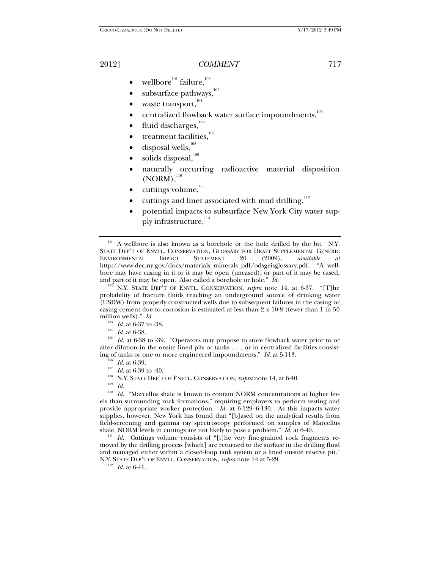- wellbore $101}$  failure, $102$
- subsurface pathways,
- waste transport,<sup>104</sup>
- centralized flowback water surface impoundments,<sup>105</sup>
- fluid discharges,<sup>106</sup>
- treatment facilities,<sup>107</sup>
- disposal wells,<sup>108</sup>
- solids disposal,<sup>109</sup>
- naturally occurring radioactive material disposition  $(NORM)$ , $^{110}$
- $cuttings$  volume, $111$
- cuttings and liner associated with mud drilling,  $^{\rm 112}$
- potential impacts to subsurface New York City water supply infrastructure,<sup>113</sup>

A wellbore is also known as a borehole or the hole drilled by the bit. N.Y. STATE DEP'T OF ENVTL. CONSERVATION, GLOSSARY FOR DRAFT SUPPLEMENTAL GENERIC<br>ENVIRONMENTAL IMPACT STATEMENT 20 (2009), available at ENVIRONMENTAL IMPACT STATEMENT 20 (2009), *available at* http://www.dec.ny.gov/docs/materials\_minerals\_pdf/odsgeisglossary.pdf. "A wellbore may have casing in it or it may be open (uncased); or part of it may be cased, and part of it may be open. Also called a borehole or hole."  $Id$ .

 $\frac{102}{102}$  N.Y. STATE DEP'T OF ENVTL. CONSERVATION, *supra* note 14, at 6-37. "[T]he probability of fracture fluids reaching an underground source of drinking water (USDW) from properly constructed wells due to subsequent failures in the casing or casing cement due to corrosion is estimated at less than 2 x 10-8 (fewer than 1 in 50 million wells)." *Id.*<br><sup>103</sup> *Id.* at 6-37 to -38.

- 
- 

<sup>104</sup> *Id.* at 6-38. <sup>105</sup> *Id.* at 6-38 to -39. "Operators may propose to store flowback water prior to or after dilution in the onsite lined pits or tanks . . ., or in centralized facilities consisting of tanks or one or more engineered impoundments."  $Id$  at 5-113.

- 
- 
- <sup>106</sup> *Id.* at 6-39.<br><sup>107</sup> *Id.* at 6-39 to -40.<br><sup>108</sup> N.Y. STATE DEP'T OF ENVTL. CONSERVATION, *supra* note 14, at 6-40.<br><sup>109</sup> *Id.*
- 

<sup>110</sup> Id. "Marcellus shale is known to contain NORM concentrations at higher levels than surrounding rock formations," requiring employers to perform testing and provide appropriate worker protection. *Id.* at 6-129–6-130. As this impacts water supplies, however, New York has found that "[b]ased on the analytical results from field-screening and gamma ray spectroscopy performed on samples of Marcellus shale, NORM levels in cuttings are not likely to pose a problem."  $Id$  at 6-40.

<sup>111</sup> Id. Cuttings volume consists of "[t]he very fine-grained rock fragments removed by the drilling process [which] are returned to the surface in the drilling fluid and managed either within a closed-loop tank system or a lined on-site reserve pit." N.Y. STATE DEP'T OF ENVTL. CONSERVATION, *supra* note 14 at 5-29.<br><sup>112</sup> *Id.* at 6-41.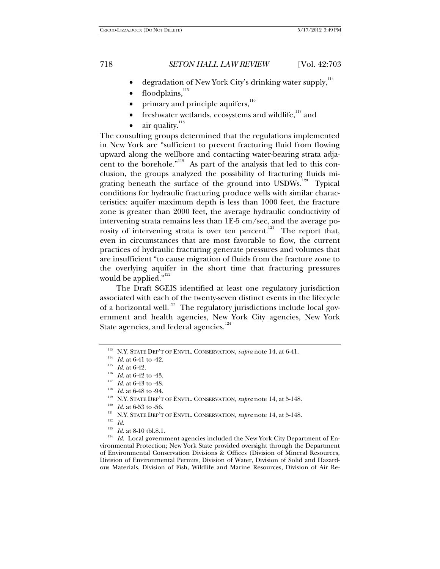- degradation of New York City's drinking water supply,  $114$
- floodplains,  $^{115}$
- primary and principle aquifers,<sup>116</sup>
- freshwater wetlands, ecosystems and wildlife,<sup>117</sup> and
- air quality.<sup>118</sup>

The consulting groups determined that the regulations implemented in New York are "sufficient to prevent fracturing fluid from flowing upward along the wellbore and contacting water-bearing strata adjacent to the borehole."<sup>119</sup> As part of the analysis that led to this conclusion, the groups analyzed the possibility of fracturing fluids migrating beneath the surface of the ground into USDWs.<sup>120</sup> Typical conditions for hydraulic fracturing produce wells with similar characteristics: aquifer maximum depth is less than 1000 feet, the fracture zone is greater than 2000 feet, the average hydraulic conductivity of intervening strata remains less than 1E-5 cm/sec, and the average porosity of intervening strata is over ten percent.<sup>121</sup> The report that, even in circumstances that are most favorable to flow, the current practices of hydraulic fracturing generate pressures and volumes that are insufficient "to cause migration of fluids from the fracture zone to the overlying aquifer in the short time that fracturing pressures would be applied."<sup>122</sup>

The Draft SGEIS identified at least one regulatory jurisdiction associated with each of the twenty-seven distinct events in the lifecycle of a horizontal well.<sup>123</sup> The regulatory jurisdictions include local government and health agencies, New York City agencies, New York State agencies, and federal agencies.<sup>124</sup>

- 
- 
- 

- 
- 
- 
- 

<sup>123</sup> *Id.* at 8-10 tbl.8.1.<br><sup>124</sup> *Id.* Local government agencies included the New York City Department of Environmental Protection; New York State provided oversight through the Department of Environmental Conservation Divisions & Offices (Division of Mineral Resources, Division of Environmental Permits, Division of Water, Division of Solid and Hazardous Materials, Division of Fish, Wildlife and Marine Resources, Division of Air Re-

<sup>&</sup>lt;sup>113</sup> N.Y. STATE DEP'T OF ENVTL. CONSERVATION, *supra* note 14, at 6-41.<br><sup>114</sup> *Id.* at 6-41 to -42.<br><sup>115</sup> *Id.* at 6-42 to -43.<br><sup>115</sup> *Id.* at 6-43 to -48.<br><sup>117</sup> *Id.* at 6-48 to -94.<br><sup>118</sup> *Id.* at 6-48 to -94.<br><sup>119</sup> N.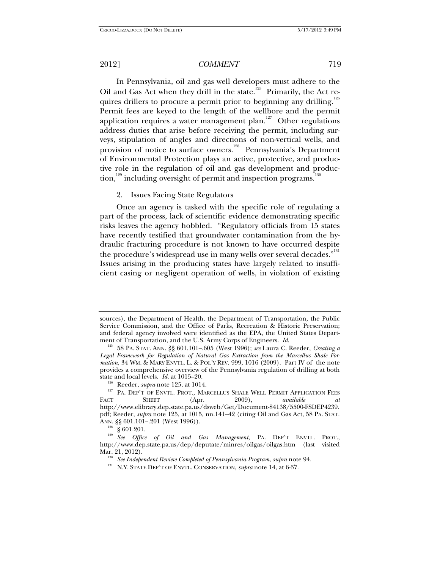In Pennsylvania, oil and gas well developers must adhere to the Oil and Gas Act when they drill in the state.<sup>125</sup> Primarily, the Act requires drillers to procure a permit prior to beginning any drilling.<sup>126</sup> Permit fees are keyed to the length of the wellbore and the permit application requires a water management plan.<sup>127</sup> Other regulations address duties that arise before receiving the permit, including surveys, stipulation of angles and directions of non-vertical wells, and provision of notice to surface owners.<sup>128</sup> Pennsylvania's Department of Environmental Protection plays an active, protective, and productive role in the regulation of oil and gas development and production,<sup>129</sup> including oversight of permit and inspection programs.<sup>13</sup>

## 2. Issues Facing State Regulators

Once an agency is tasked with the specific role of regulating a part of the process, lack of scientific evidence demonstrating specific risks leaves the agency hobbled. "Regulatory officials from 15 states have recently testified that groundwater contamination from the hydraulic fracturing procedure is not known to have occurred despite the procedure's widespread use in many wells over several decades."<sup>131</sup> Issues arising in the producing states have largely related to insufficient casing or negligent operation of wells, in violation of existing

sources), the Department of Health, the Department of Transportation, the Public Service Commission, and the Office of Parks, Recreation & Historic Preservation; and federal agency involved were identified as the EPA, the United States Depart-<br>ment of Transportation, and the U.S. Army Corps of Engineers. Id.

<sup>&</sup>lt;sup>125</sup> 58 PA. STAT. ANN. §§ 601.101–.605 (West 1996); see Laura C. Reeder, *Creating a Legal Framework for Regulation of Natural Gas Extraction from the Marcellus Shale Formation*, 34 WM. & MARY ENVTL. L. & POL'Y REV. 999, 1016 (2009). Part IV of the note provides a comprehensive overview of the Pennsylvania regulation of drilling at both

state and local levels. *Id.* at 1015–20.<br><sup>126</sup> Reeder, *supra* note 125, at 1014.<br><sup>127</sup> PA. DEP'T OF ENVTL. PROT., MARCELLUS SHALE WELL PERMIT APPLICATION FEES<br>FACT SHEET (Apr. 2009), *available at* FACT SHEET (Apr. 2009), *available at* http://www.elibrary.dep.state.pa.us/dsweb/Get/Document-84138/5500-FSDEP4239. pdf; Reeder, *supra* note 125, at 1015, nn.141–42 (citing Oil and Gas Act, 58 PA. STAT. ANN. §§ 601.101–.201 (West 1996)).<br><sup>128</sup> § 601.201.

<sup>&</sup>lt;sup>129</sup> See Office of Oil and Gas Management, PA. DEP'T ENVTL. PROT., http://www.dep.state.pa.us/dep/deputate/minres/oilgas/oilgas.htm (last visited

<sup>&</sup>lt;sup>130</sup> See Independent Review Completed of Pennsylvania Program, *supra* note 94.<br><sup>131</sup> N.Y. STATE DEP'T OF ENVTL. CONSERVATION, *supra* note 14, at 6-37.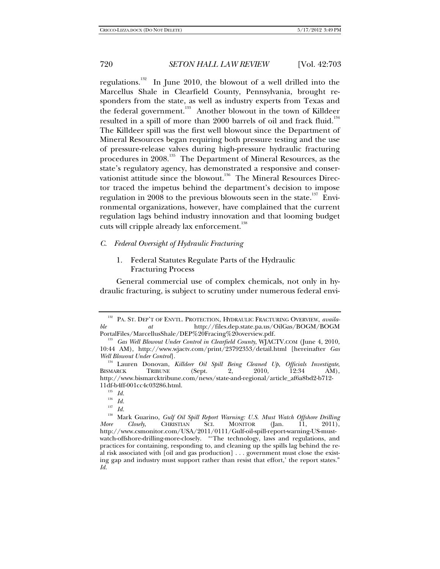regulations.<sup>132</sup> In June 2010, the blowout of a well drilled into the Marcellus Shale in Clearfield County, Pennsylvania, brought responders from the state, as well as industry experts from Texas and the federal government.<sup>133</sup> Another blowout in the town of Killdeer resulted in a spill of more than  $2000$  barrels of oil and frack fluid.<sup>134</sup> The Killdeer spill was the first well blowout since the Department of Mineral Resources began requiring both pressure testing and the use of pressure-release valves during high-pressure hydraulic fracturing procedures in 2008.<sup>135</sup> The Department of Mineral Resources, as the state's regulatory agency, has demonstrated a responsive and conservationist attitude since the blowout.<sup>136</sup> The Mineral Resources Director traced the impetus behind the department's decision to impose regulation in 2008 to the previous blowouts seen in the state.<sup>137</sup> Environmental organizations, however, have complained that the current regulation lags behind industry innovation and that looming budget cuts will cripple already lax enforcement.<sup>138</sup>

### *C. Federal Oversight of Hydraulic Fracturing*

1. Federal Statutes Regulate Parts of the Hydraulic Fracturing Process

General commercial use of complex chemicals, not only in hydraulic fracturing, is subject to scrutiny under numerous federal envi-

PA. ST. DEP'T OF ENVTL. PROTECTION, HYDRAULIC FRACTURING OVERVIEW, *available at* http://files.dep.state.pa.us/OilGas/BOGM/BOGM

<sup>&</sup>lt;sup>133</sup> Gas Well Blowout Under Control in Clearfield County, WJACTV.COM (June 4, 2010, 10:44 AM), http://www.wjactv.com/print/23792353/detail.html [hereinafter *Gas Well Blowout Under Control*]. 134 Lauren Donovan, *Killdeer Oil Spill Being Cleaned Up, Officials Investigate*,

BISMARCK TRIBUNE (Sept. 2, 2010, 12:34 AM), http://www.bismarcktribune.com/news/state-and-regional/article\_af6a8bd2-b712- 11df-b4ff-001cc4c03286.html.

 $\frac{135}{136}$  *Id.* 

 $\frac{136}{137}$  *Id.* 

 $\frac{137}{138}$  *Id.* 

<sup>138</sup> Mark Guarino, *Gulf Oil Spill Report Warning: U.S. Must Watch Offshore Drilling More Closely*, CHRISTIAN SCI. MONITOR (Jan. 11, 2011), http://www.csmonitor.com/USA/2011/0111/Gulf-oil-spill-report-warning-US-mustwatch-offshore-drilling-more-closely. "'The technology, laws and regulations, and practices for containing, responding to, and cleaning up the spills lag behind the real risk associated with [oil and gas production] . . . government must close the existing gap and industry must support rather than resist that effort,' the report states." *Id.*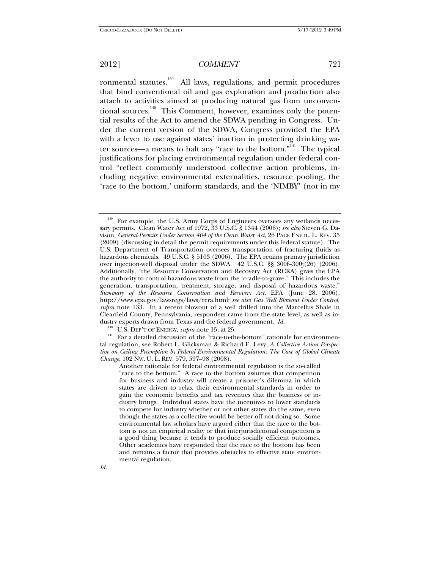ronmental statutes.<sup>139</sup> All laws, regulations, and permit procedures that bind conventional oil and gas exploration and production also attach to activities aimed at producing natural gas from unconventional sources.<sup>140</sup> This Comment, however, examines only the potential results of the Act to amend the SDWA pending in Congress. Under the current version of the SDWA, Congress provided the EPA with a lever to use against states' inaction in protecting drinking water sources—a means to halt any "race to the bottom."<sup>141</sup> The typical justifications for placing environmental regulation under federal control "reflect commonly understood collective action problems, including negative environmental externalities, resource pooling, the 'race to the bottom,' uniform standards, and the 'NIMBY' (not in my

<sup>&</sup>lt;sup>139</sup> For example, the U.S. Army Corps of Engineers oversees any wetlands necessary permits. Clean Water Act of 1972, 33 U.S.C. § 1344 (2006); *see also* Steven G. Davison, *General Permits Under Section 404 of the Clean Water Act*, 26 PACE ENVTL. L. REV. 35 (2009) (discussing in detail the permit requirements under this federal statute). The U.S. Department of Transportation oversees transportation of fracturing fluids as hazardous chemicals. 49 U.S.C. § 5103 (2006). The EPA retains primary jurisdiction over injection-well disposal under the SDWA. 42 U.S.C.  $\S$ § 300f–300j(26) (2006). Additionally, "the Resource Conservation and Recovery Act (RCRA) gives the EPA the authority to control hazardous waste from the 'cradle-to-grave.' This includes the generation, transportation, treatment, storage, and disposal of hazardous waste." *Summary of the Resource Conservation and Recovery Act*, EPA (June 28, 2006), http://www.epa.gov/lawsregs/laws/rcra.html; *see also Gas Well Blowout Under Control, supra* note 133. In a recent blowout of a well drilled into the Marcellus Shale in Clearfield County, Pennsylvania, responders came from the state level, as well as industry experts drawn from Texas and the federal government. *Id.* <sup>140</sup> U.S. DEP'T OF ENERGY, *supra* note 15, at 25. 141 For a detailed discussion of the "race-to-the-bottom" rationale for environmen-

tal regulation, see Robert L. Glicksman & Richard E. Levy, *A Collective Action Perspective on Ceiling Preemption by Federal Environmental Regulation: The Case of Global Climate Change*, 102 NW. U. L. REV. 579, 597–98 (2008).

Another rationale for federal environmental regulation is the so-called "race to the bottom." A race to the bottom assumes that competition for business and industry will create a prisoner's dilemma in which states are driven to relax their environmental standards in order to gain the economic benefits and tax revenues that the business or industry brings. Individual states have the incentives to lower standards to compete for industry whether or not other states do the same, even though the states as a collective would be better off not doing so. Some environmental law scholars have argued either that the race to the bottom is not an empirical reality or that interjurisdictional competition is a good thing because it tends to produce socially efficient outcomes. Other academics have responded that the race to the bottom has been and remains a factor that provides obstacles to effective state environmental regulation.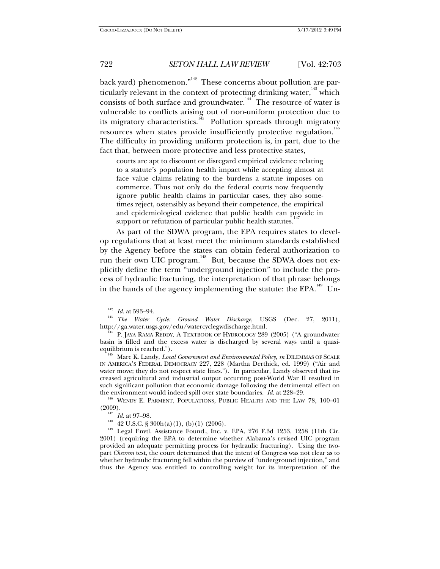back yard) phenomenon."<sup>142</sup> These concerns about pollution are particularly relevant in the context of protecting drinking water, $\frac{143}{143}$  which consists of both surface and groundwater.<sup>144</sup> The resource of water is vulnerable to conflicts arising out of non-uniform protection due to its migratory characteristics.<sup>145</sup> Pollution spreads through migratory resources when states provide insufficiently protective regulation.<sup>146</sup> The difficulty in providing uniform protection is, in part, due to the fact that, between more protective and less protective states,

courts are apt to discount or disregard empirical evidence relating to a statute's population health impact while accepting almost at face value claims relating to the burdens a statute imposes on commerce. Thus not only do the federal courts now frequently ignore public health claims in particular cases, they also sometimes reject, ostensibly as beyond their competence, the empirical and epidemiological evidence that public health can provide in support or refutation of particular public health statutes.<sup>1</sup>

As part of the SDWA program, the EPA requires states to develop regulations that at least meet the minimum standards established by the Agency before the states can obtain federal authorization to run their own UIC program.<sup>148</sup> But, because the SDWA does not explicitly define the term "underground injection" to include the process of hydraulic fracturing, the interpretation of that phrase belongs in the hands of the agency implementing the statute: the  $EPA$ <sup>149</sup> Un-

<sup>&</sup>lt;sup>142</sup> Id. at 593–94.<br><sup>143</sup> *The Water Cycle: Ground Water Discharge*, USGS (Dec. 27, 2011),<br>http://ga.water.usgs.gov/edu/watercyclegwdischarge.html.

<sup>&</sup>lt;sup>4</sup> P. JAYA RAMA REDDY, A TEXTBOOK OF HYDROLOGY 289 (2005) ("A groundwater basin is filled and the excess water is discharged by several ways until a quasi-

<sup>145</sup> Marc K. Landy, *Local Government and Environmental Policy*, *in* DILEMMAS OF SCALE IN AMERICA'S FEDERAL DEMOCRACY 227, 228 (Martha Derthick, ed. 1999) ("Air and water move; they do not respect state lines."). In particular, Landy observed that increased agricultural and industrial output occurring post-World War II resulted in such significant pollution that economic damage following the detrimental effect on the environment would indeed spill over state boundaries. *Id.* at 228–29.<br><sup>146</sup> WENDY E. PARMENT, POPULATIONS, PUBLIC HEALTH AND THE LAW 78, 100–01

<sup>(2009).&</sup>lt;br><sup>147</sup> *Id.* at 97–98.<br><sup>148</sup> 42 U.S.C. § 300h(a)(1), (b)(1) (2006).<br><sup>149</sup> Legal Envtl. Assistance Found., Inc. v. EPA, 276 F.3d 1253, 1258 (11th Cir. 2001) (requiring the EPA to determine whether Alabama's revised UIC program provided an adequate permitting process for hydraulic fracturing). Using the twopart *Chevron* test, the court determined that the intent of Congress was not clear as to whether hydraulic fracturing fell within the purview of "underground injection," and thus the Agency was entitled to controlling weight for its interpretation of the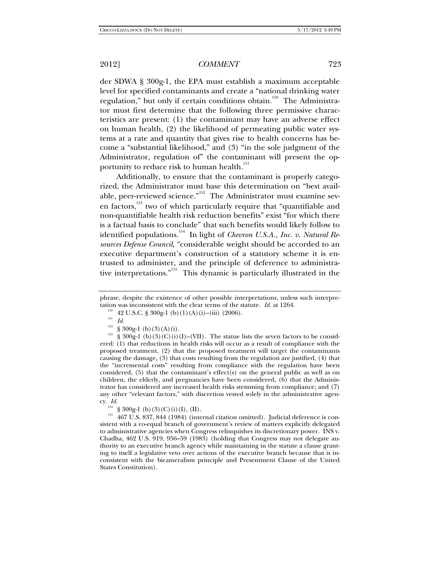der SDWA § 300g-1, the EPA must establish a maximum acceptable level for specified contaminants and create a "national drinking water regulation," but only if certain conditions obtain.<sup>150</sup> The Administrator must first determine that the following three permissive characteristics are present: (1) the contaminant may have an adverse effect on human health, (2) the likelihood of permeating public water systems at a rate and quantity that gives rise to health concerns has become a "substantial likelihood," and (3) "in the sole judgment of the Administrator, regulation of" the contaminant will present the opportunity to reduce risk to human health.<sup>151</sup>

Additionally, to ensure that the contaminant is properly categorized, the Administrator must base this determination on "best available, peer-reviewed science."<sup>152</sup> The Administrator must examine seven factors,<sup>153</sup> two of which particularly require that "quantifiable and non-quantifiable health risk reduction benefits" exist "for which there is a factual basis to conclude" that such benefits would likely follow to identified populations.<sup>154</sup> In light of *Chevron U.S.A., Inc. v. Natural Resources Defense Council*, "considerable weight should be accorded to an executive department's construction of a statutory scheme it is entrusted to administer, and the principle of deference to administrative interpretations."155 This dynamic is particularly illustrated in the

phrase, despite the existence of other possible interpretations, unless such interpretation was inconsistent with the clear terms of the statute. *Id.* at 1264.<br><sup>150</sup> 42 U.S.C. § 300g-1 (b)(1)(A)(i)–(iii) (2006).<br><sup>151</sup> *Id.*<br><sup>152</sup> 8 900 a 1 (b)(2)(A)(i)

<sup>&</sup>lt;sup>152</sup> § 300g-1 (b)(3)(A)(i).<br><sup>153</sup> § 300g-1 (b)(3)(C)(i)(I)–(VII). The statue lists the seven factors to be considered: (1) that reductions in health risks will occur as a result of compliance with the proposed treatment, (2) that the proposed treatment will target the contaminants causing the damage, (3) that costs resulting from the regulation are justified, (4) that the "incremental costs" resulting from compliance with the regulation have been considered,  $(5)$  that the contaminant's effect(s) on the general public as well as on children, the elderly, and pregnancies have been considered, (6) that the Administrator has considered any increased health risks stemming from compliance; and (7) any other "relevant factors," with discretion vested solely in the administrative agency. *Id.* 

<sup>&</sup>lt;sup>154</sup> § 300g-1 (b)(3)(C)(i)(I),(II).<br><sup>155</sup> 467 U.S. 837, 844 (1984) (internal citation omitted). Judicial deference is consistent with a co-equal branch of government's review of matters explicitly delegated to administrative agencies when Congress relinquishes its discretionary power. INS v. Chadha, 462 U.S. 919, 956–59 (1983) (holding that Congress may not delegate authority to an executive branch agency while maintaining in the statute a clause granting to itself a legislative veto over actions of the executive branch because that is inconsistent with the bicameralism principle and Presentment Clause of the United States Constitution).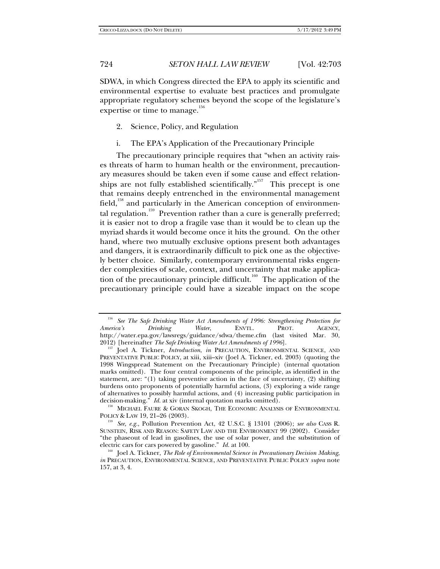SDWA, in which Congress directed the EPA to apply its scientific and environmental expertise to evaluate best practices and promulgate appropriate regulatory schemes beyond the scope of the legislature's expertise or time to manage.<sup>156</sup>

- 2. Science, Policy, and Regulation
- i. The EPA's Application of the Precautionary Principle

The precautionary principle requires that "when an activity raises threats of harm to human health or the environment, precautionary measures should be taken even if some cause and effect relationships are not fully established scientifically."<sup>157</sup> This precept is one that remains deeply entrenched in the environmental management field,<sup>158</sup> and particularly in the American conception of environmental regulation.<sup>159</sup> Prevention rather than a cure is generally preferred; it is easier not to drop a fragile vase than it would be to clean up the myriad shards it would become once it hits the ground. On the other hand, where two mutually exclusive options present both advantages and dangers, it is extraordinarily difficult to pick one as the objectively better choice. Similarly, contemporary environmental risks engender complexities of scale, context, and uncertainty that make application of the precautionary principle difficult.<sup>160</sup> The application of the precautionary principle could have a sizeable impact on the scope

 $^{158}$  MICHAEL FAURE & GORAN SKOGH, THE ECONOMIC ANALYSIS OF ENVIRONMENTAL POLICY & LAW 19, 21–26 (2003).

<sup>&</sup>lt;sup>156</sup> See The Safe Drinking Water Act Amendments of 1996: Strengthening Protection for America's Drinking Water, ENVTL. PROT. AGENCY, *America's Drinking Water*, ENVTL. PROT. AGENCY, http://water.epa.gov/lawsregs/guidance/sdwa/theme.cfm (last visited Mar. 30, 2012) [hereinafter The Safe Drinking Water Act Amendments of 1996].

Joel A. Tickner, *Introduction*, *in* PRECAUTION, ENVIRONMENTAL SCIENCE, AND PREVENTATIVE PUBLIC POLICY, at xiii, xiii–xiv (Joel A. Tickner, ed. 2003) (quoting the 1998 Wingspread Statement on the Precautionary Principle) (internal quotation marks omitted). The four central components of the principle, as identified in the statement, are: "(1) taking preventive action in the face of uncertainty, (2) shifting burdens onto proponents of potentially harmful actions, (3) exploring a wide range of alternatives to possibly harmful actions, and  $(4)$  increasing public participation in decision-making." *Id.* at xiv (internal quotation marks omitted).

<sup>&</sup>lt;sup>159</sup> See, e.g., Pollution Prevention Act, 42 U.S.C. § 13101 (2006); *see also* CASS R. SUNSTEIN, RISK AND REASON: SAFETY LAW AND THE ENVIRONMENT 99 (2002). Consider "the phaseout of lead in gasolines, the use of solar power, and the substitution of electric cars for cars powered by gasoline."  $Id$  at 100.

<sup>&</sup>lt;sup>160</sup> Joel A. Tickner, *The Role of Environmental Science in Precautionary Decision Making*, *in* PRECAUTION, ENVIRONMENTAL SCIENCE, AND PREVENTATIVE PUBLIC POLICY *supra* note 157, at 3, 4.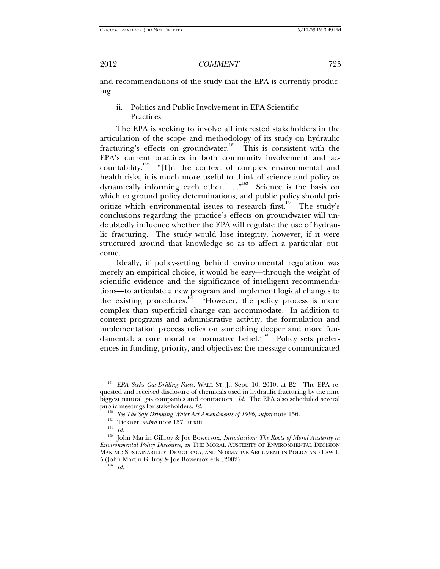and recommendations of the study that the EPA is currently producing.

ii. Politics and Public Involvement in EPA Scientific Practices

The EPA is seeking to involve all interested stakeholders in the articulation of the scope and methodology of its study on hydraulic fracturing's effects on groundwater.<sup>161</sup> This is consistent with the EPA's current practices in both community involvement and accountability.<sup>162</sup> "[I]n the context of complex environmental and health risks, it is much more useful to think of science and policy as dynamically informing each other  $\dots$ ."<sup>163</sup> Science is the basis on which to ground policy determinations, and public policy should prioritize which environmental issues to research first.<sup>164</sup> The study's conclusions regarding the practice's effects on groundwater will undoubtedly influence whether the EPA will regulate the use of hydraulic fracturing. The study would lose integrity, however, if it were structured around that knowledge so as to affect a particular outcome.

Ideally, if policy-setting behind environmental regulation was merely an empirical choice, it would be easy—through the weight of scientific evidence and the significance of intelligent recommendations—to articulate a new program and implement logical changes to the existing procedures.<sup>165</sup> "However, the policy process is more complex than superficial change can accommodate. In addition to context programs and administrative activity, the formulation and implementation process relies on something deeper and more fundamental: a core moral or normative belief."<sup>166</sup> Policy sets preferences in funding, priority, and objectives: the message communicated

<sup>161</sup> *EPA Seeks Gas-Drilling Facts*, WALL ST. J., Sept. 10, 2010, at B2. The EPA requested and received disclosure of chemicals used in hydraulic fracturing by the nine biggest natural gas companies and contractors. *Id.* The EPA also scheduled several public meetings for stakeholders. *Id.* 

<sup>162</sup> *See The Safe Drinking Water Act Amendments of 1996*, *supra* note 156. 163 Tickner, *supra* note 157, at xiii. 164 *Id.*

<sup>165</sup> John Martin Gillroy & Joe Bowersox, *Introduction: The Roots of Moral Austerity in Environmental Policy Discourse*, *in* THE MORAL AUSTERITY OF ENVIRONMENTAL DECISION MAKING: SUSTAINABILITY, DEMOCRACY, AND NORMATIVE ARGUMENT IN POLICY AND LAW 1, <sup>5</sup> (John Martin Gillroy & Joe Bowersox eds., 2002). 166 *Id.*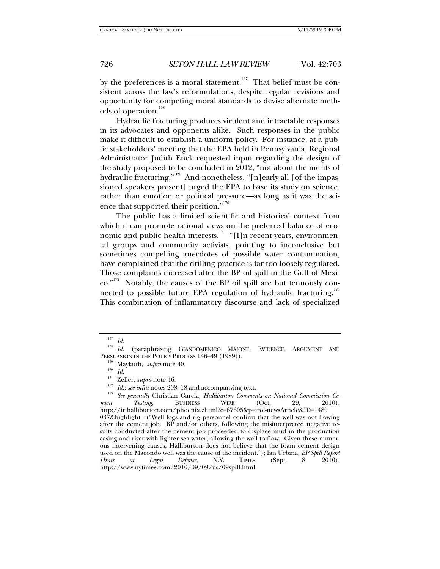by the preferences is a moral statement.<sup>167</sup> That belief must be consistent across the law's reformulations, despite regular revisions and opportunity for competing moral standards to devise alternate methods of operation.<sup>168</sup>

Hydraulic fracturing produces virulent and intractable responses in its advocates and opponents alike. Such responses in the public make it difficult to establish a uniform policy. For instance, at a public stakeholders' meeting that the EPA held in Pennsylvania, Regional Administrator Judith Enck requested input regarding the design of the study proposed to be concluded in 2012, "not about the merits of hydraulic fracturing."<sup>169</sup> And nonetheless, "[n]early all [of the impassioned speakers present] urged the EPA to base its study on science, rather than emotion or political pressure—as long as it was the science that supported their position."<sup>170</sup>

The public has a limited scientific and historical context from which it can promote rational views on the preferred balance of economic and public health interests.<sup>171</sup> "[I]n recent years, environmental groups and community activists, pointing to inconclusive but sometimes compelling anecdotes of possible water contamination, have complained that the drilling practice is far too loosely regulated. Those complaints increased after the BP oil spill in the Gulf of Mexico."<sup>172</sup> Notably, the causes of the BP oil spill are but tenuously connected to possible future EPA regulation of hydraulic fracturing. $^{173}$ This combination of inflammatory discourse and lack of specialized

<sup>167</sup> *Id.*

<sup>168</sup> *Id.* (paraphrasing GIANDOMENICO MAJONE, EVIDENCE, ARGUMENT AND PERSUASION IN THE POLICY PROCESS 146–49 (1989)).<br><sup>169</sup> Maykuth, *supra* note 40.<br><sup>170</sup> *Id.*<br><sup>171</sup> Zellan subuspata 46.

<sup>&</sup>lt;sup>171</sup> Zeller, *supra* note 46.<br><sup>172</sup> Id.; *see infra* notes 208–18 and accompanying text.<br><sup>173</sup> See generally Christian Garcia, *Halliburton Comments on National Commission Ce-*<br>*nt* Testing. BUSINESS WIRE (Oct. 29. 2010). *ment Testing*, BUSINESS WIRE (Oct. 29, 2010), http://ir.halliburton.com/phoenix.zhtml?c=67605&p=irol-newsArticle&ID=1489 037&highlight= ("Well logs and rig personnel confirm that the well was not flowing after the cement job. BP and/or others, following the misinterpreted negative results conducted after the cement job proceeded to displace mud in the production casing and riser with lighter sea water, allowing the well to flow. Given these numerous intervening causes, Halliburton does not believe that the foam cement design used on the Macondo well was the cause of the incident."); Ian Urbina, *BP Spill Report Hints at Legal Defense*, N.Y. TIMES (Sept. 8, 2010), http://www.nytimes.com/2010/09/09/us/09spill.html.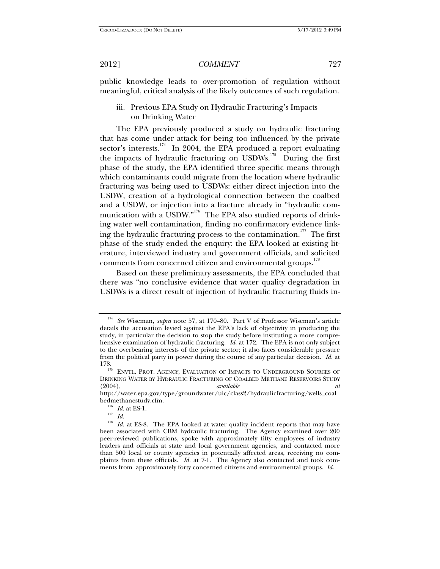public knowledge leads to over-promotion of regulation without meaningful, critical analysis of the likely outcomes of such regulation.

## iii. Previous EPA Study on Hydraulic Fracturing's Impacts on Drinking Water

The EPA previously produced a study on hydraulic fracturing that has come under attack for being too influenced by the private sector's interests.<sup>174</sup> In 2004, the EPA produced a report evaluating the impacts of hydraulic fracturing on USDWs.<sup>175</sup> During the first phase of the study, the EPA identified three specific means through which contaminants could migrate from the location where hydraulic fracturing was being used to USDWs: either direct injection into the USDW, creation of a hydrological connection between the coalbed and a USDW, or injection into a fracture already in "hydraulic communication with a USDW."<sup>176</sup> The EPA also studied reports of drinking water well contamination, finding no confirmatory evidence linking the hydraulic fracturing process to the contamination.<sup>177</sup> The first phase of the study ended the enquiry: the EPA looked at existing literature, interviewed industry and government officials, and solicited comments from concerned citizen and environmental groups.<sup>178</sup>

Based on these preliminary assessments, the EPA concluded that there was "no conclusive evidence that water quality degradation in USDWs is a direct result of injection of hydraulic fracturing fluids in-

<sup>174</sup> *See* Wiseman, *supra* note 57, at 170–80. Part V of Professor Wiseman's article details the accusation levied against the EPA's lack of objectivity in producing the study, in particular the decision to stop the study before instituting a more comprehensive examination of hydraulic fracturing. *Id.* at 172. The EPA is not only subject to the overbearing interests of the private sector; it also faces considerable pressure from the political party in power during the course of any particular decision. *Id.* at

ENVTL. PROT. AGENCY, EVALUATION OF IMPACTS TO UNDERGROUND SOURCES OF DRINKING WATER BY HYDRAULIC FRACTURING OF COALBED METHANE RESERVOIRS STUDY (2004), *available at*

http://water.epa.gov/type/groundwater/uic/class2/hydraulicfracturing/wells\_coal bedmethanestudy.cfm. 176 *Id.* at ES-1. 177 *Id.*

<sup>&</sup>lt;sup>178</sup> Id. at ES-8. The EPA looked at water quality incident reports that may have been associated with CBM hydraulic fracturing. The Agency examined over 200 peer-reviewed publications, spoke with approximately fifty employees of industry leaders and officials at state and local government agencies, and contacted more than 500 local or county agencies in potentially affected areas, receiving no complaints from these officials. *Id.* at 7-1. The Agency also contacted and took comments from approximately forty concerned citizens and environmental groups. *Id.*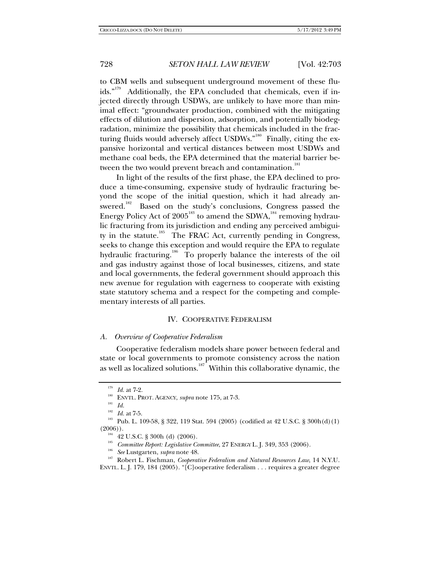to CBM wells and subsequent underground movement of these fluids."<sup>179</sup> Additionally, the EPA concluded that chemicals, even if injected directly through USDWs, are unlikely to have more than minimal effect: "groundwater production, combined with the mitigating effects of dilution and dispersion, adsorption, and potentially biodegradation, minimize the possibility that chemicals included in the fracturing fluids would adversely affect USDWs." $180$  Finally, citing the expansive horizontal and vertical distances between most USDWs and methane coal beds, the EPA determined that the material barrier between the two would prevent breach and contamination.<sup>181</sup>

In light of the results of the first phase, the EPA declined to produce a time-consuming, expensive study of hydraulic fracturing beyond the scope of the initial question, which it had already answered.<sup>182</sup> Based on the study's conclusions, Congress passed the Energy Policy Act of  $2005^{183}$  to amend the SDWA,<sup>184</sup> removing hydraulic fracturing from its jurisdiction and ending any perceived ambiguity in the statute.<sup>185</sup> The FRAC Act, currently pending in Congress, seeks to change this exception and would require the EPA to regulate hydraulic fracturing.<sup>186</sup> To properly balance the interests of the oil and gas industry against those of local businesses, citizens, and state and local governments, the federal government should approach this new avenue for regulation with eagerness to cooperate with existing state statutory schema and a respect for the competing and complementary interests of all parties.

### IV. COOPERATIVE FEDERALISM

### *A. Overview of Cooperative Federalism*

Cooperative federalism models share power between federal and state or local governments to promote consistency across the nation as well as localized solutions.<sup>187</sup> Within this collaborative dynamic, the

<sup>&</sup>lt;sup>179</sup> *Id.* at 7-2.<br>
<sup>180</sup> ENVTL. PROT. AGENCY, *supra* note 175, at 7-3.<br>
<sup>181</sup> *Id.* at 7-5.

<sup>&</sup>lt;sup>183</sup> Pub. L. 109-58, § 322, 119 Stat. 594 (2005) (codified at 42 U.S.C. § 300h(d)(1) (2006)).<br>
<sup>184</sup> 42 U.S.C. § 300h (d) (2006).<br>
<sup>185</sup> *Committee Report: Legislative Committee*, 27 ENERGY L. J. 349, 353 (2006).<br>
<sup>186</sup> *See* Lustgarten, *supra* note 48.<br>
<sup>187</sup> Robert L. Fischman, *Cooperative Federalism* 

ENVTL. L. J. 179, 184 (2005). "[C]ooperative federalism . . . requires a greater degree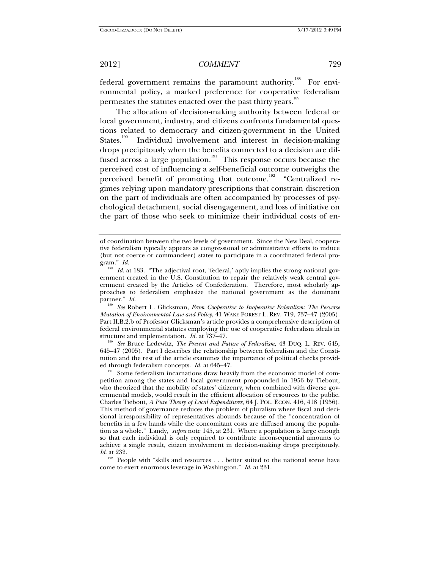federal government remains the paramount authority.<sup>188</sup> For environmental policy, a marked preference for cooperative federalism permeates the statutes enacted over the past thirty years.<sup>189</sup>

The allocation of decision-making authority between federal or local government, industry, and citizens confronts fundamental questions related to democracy and citizen-government in the United States.<sup>190</sup> Individual involvement and interest in decision-making drops precipitously when the benefits connected to a decision are diffused across a large population.<sup>191</sup> This response occurs because the perceived cost of influencing a self-beneficial outcome outweighs the perceived benefit of promoting that outcome.<sup>192</sup> "Centralized regimes relying upon mandatory prescriptions that constrain discretion on the part of individuals are often accompanied by processes of psychological detachment, social disengagement, and loss of initiative on the part of those who seek to minimize their individual costs of en-

<sup>189</sup> *See* Robert L. Glicksman, *From Cooperative to Inoperative Federalism: The Perverse Mutation of Environmental Law and Policy*, 41 WAKE FOREST L. REV. 719, 737–47 (2005). Part II.B.2.b of Professor Glicksman's article provides a comprehensive description of federal environmental statutes employing the use of cooperative federalism ideals in structure and implementation. *Id.* at 737–47.

<sup>190</sup> See Bruce Ledewitz, *The Present and Future of Federalism*, 43 DUQ. L. REV. 645, 645–47 (2005). Part I describes the relationship between federalism and the Constitution and the rest of the article examines the importance of political checks provided through federalism concepts. *Id.* at 645–47.<br><sup>191</sup> Some federalism incarnations draw heavily from the economic model of com-

<sup>192</sup> People with "skills and resources . . . better suited to the national scene have come to exert enormous leverage in Washington." *Id*. at 231.

of coordination between the two levels of government. Since the New Deal, cooperative federalism typically appears as congressional or administrative efforts to induce (but not coerce or commandeer) states to participate in a coordinated federal program." *Id.* 

<sup>&</sup>lt;sup>188</sup> Id. at 183. "The adjectival root, 'federal,' aptly implies the strong national government created in the U.S. Constitution to repair the relatively weak central government created by the Articles of Confederation. Therefore, most scholarly approaches to federalism emphasize the national government as the dominant partner." *Id.* 

petition among the states and local government propounded in 1956 by Tiebout, who theorized that the mobility of states' citizenry, when combined with diverse governmental models, would result in the efficient allocation of resources to the public. Charles Tiebout, *A Pure Theory of Local Expenditures*, 64 J. POL. ECON. 416, 418 (1956). This method of governance reduces the problem of pluralism where fiscal and decisional irresponsibility of representatives abounds because of the "concentration of benefits in a few hands while the concomitant costs are diffused among the population as a whole." Landy, *supra* note 145, at 231. Where a population is large enough so that each individual is only required to contribute inconsequential amounts to achieve a single result, citizen involvement in decision-making drops precipitously. *Id*. at 232.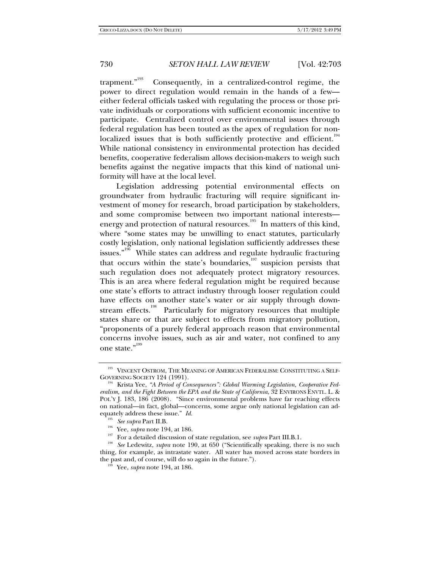trapment."<sup>193</sup> Consequently, in a centralized-control regime, the power to direct regulation would remain in the hands of a few either federal officials tasked with regulating the process or those private individuals or corporations with sufficient economic incentive to participate. Centralized control over environmental issues through federal regulation has been touted as the apex of regulation for nonlocalized issues that is both sufficiently protective and efficient.<sup>194</sup> While national consistency in environmental protection has decided benefits, cooperative federalism allows decision-makers to weigh such benefits against the negative impacts that this kind of national uniformity will have at the local level.

Legislation addressing potential environmental effects on groundwater from hydraulic fracturing will require significant investment of money for research, broad participation by stakeholders, and some compromise between two important national interests energy and protection of natural resources.<sup>195</sup> In matters of this kind, where "some states may be unwilling to enact statutes, particularly costly legislation, only national legislation sufficiently addresses these issues."<sup>196</sup> While states can address and regulate hydraulic fracturing that occurs within the state's boundaries, $\frac{197}{197}$  suspicion persists that such regulation does not adequately protect migratory resources. This is an area where federal regulation might be required because one state's efforts to attract industry through looser regulation could have effects on another state's water or air supply through downstream effects.<sup>198</sup> Particularly for migratory resources that multiple states share or that are subject to effects from migratory pollution, "proponents of a purely federal approach reason that environmental concerns involve issues, such as air and water, not confined to any one state."<sup>199</sup>

 $^{193}$ VINCENT OSTROM, THE MEANING OF AMERICAN FEDERALISM: CONSTITUTING A SELF-GOVERNING SOCIETY  $124\ (1991)$ .

Krista Yee, "A Period of Consequences": Global Warming Legislation, Cooperative Fed*eralism, and the Fight Between the EPA and the State of California*, 32 ENVIRONS ENVTL. L. & POL'Y J. 183, 186 (2008). "Since environmental problems have far reaching effects on national—in fact, global—concerns, some argue only national legislation can adequately address these issue." *Id.*<br><sup>195</sup> See supra Part II.B.

<sup>&</sup>lt;sup>196</sup> Yee, *supra* note 194, at 186.<br><sup>197</sup> For a detailed discussion of state regulation, see *supra* Part III.B.1.<br><sup>198</sup> See Ledewitz, *supra* note 190, at 650 ("Scientifically speaking, there is no such thing, for example, as intrastate water. All water has moved across state borders in the past and, of course, will do so again in the future."). 199 Yee, *supra* note 194, at 186.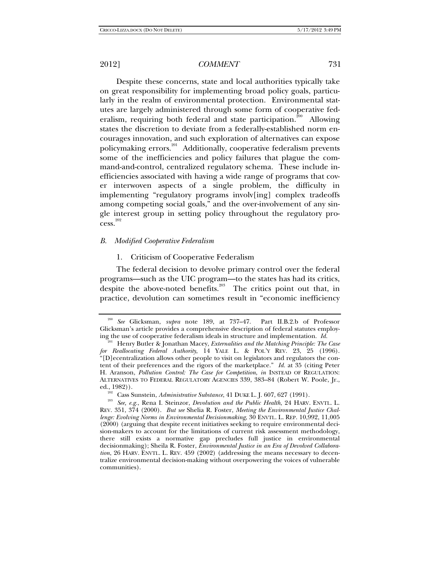Despite these concerns, state and local authorities typically take on great responsibility for implementing broad policy goals, particularly in the realm of environmental protection. Environmental statutes are largely administered through some form of cooperative federalism, requiring both federal and state participation.<sup>200</sup> Allowing states the discretion to deviate from a federally-established norm encourages innovation, and such exploration of alternatives can expose policymaking errors.201 Additionally, cooperative federalism prevents some of the inefficiencies and policy failures that plague the command-and-control, centralized regulatory schema. These include inefficiencies associated with having a wide range of programs that cover interwoven aspects of a single problem, the difficulty in implementing "regulatory programs involv[ing] complex tradeoffs among competing social goals," and the over-involvement of any single interest group in setting policy throughout the regulatory pro $cess.<sup>202</sup>$ 

### *B. Modified Cooperative Federalism*

### 1. Criticism of Cooperative Federalism

The federal decision to devolve primary control over the federal programs—such as the UIC program—to the states has had its critics, despite the above-noted benefits.<sup>203</sup> The critics point out that, in practice, devolution can sometimes result in "economic inefficiency

<sup>200</sup> *See* Glicksman, *supra* note 189, at 737–47. Part II.B.2.b of Professor Glicksman's article provides a comprehensive description of federal statutes employing the use of cooperative federalism ideals in structure and implementation.  $Id$ .

<sup>&</sup>lt;sup>201</sup> Henry Butler & Jonathan Macey, *Externalities and the Matching Principle: The Case for Reallocating Federal Authority*, 14 YALE L. & POL'Y REV. 23, 25 (1996). "[D]ecentralization allows other people to visit on legislators and regulators the content of their preferences and the rigors of the marketplace." *Id.* at 35 (citing Peter H. Aranson, *Pollution Control: The Case for Competition*, *in* INSTEAD OF REGULATION: ALTERNATIVES TO FEDERAL REGULATORY AGENCIES 339, 383–84 (Robert W. Poole, Jr.,

<sup>&</sup>lt;sup>202</sup> Cass Sunstein, *Administrative Substance*, 41 DUKE L. J. 607, 627 (1991).<br><sup>203</sup> See, e.g., Rena I. Steinzor, *Devolution and the Public Health*, 24 HARV. ENVTL. L. REV. 351, 374 (2000). *But see* Shelia R. Foster, *Meeting the Environmental Justice Challenge: Evolving Norms in Environmental Decisionmaking*, 30 ENVTL. L. REP. 10,992, 11,005 (2000) (arguing that despite recent initiatives seeking to require environmental decision-makers to account for the limitations of current risk assessment methodology, there still exists a normative gap precludes full justice in environmental decisionmaking); Sheila R. Foster, *Environmental Justice in an Era of Devolved Collaboration*, 26 HARV. ENVTL. L. REV. 459 (2002) (addressing the means necessary to decentralize environmental decision-making without overpowering the voices of vulnerable communities).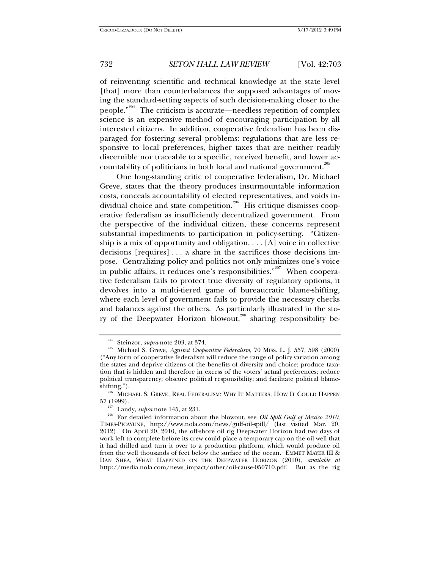of reinventing scientific and technical knowledge at the state level [that] more than counterbalances the supposed advantages of moving the standard-setting aspects of such decision-making closer to the people."204 The criticism is accurate—needless repetition of complex science is an expensive method of encouraging participation by all interested citizens. In addition, cooperative federalism has been disparaged for fostering several problems: regulations that are less responsive to local preferences, higher taxes that are neither readily discernible nor traceable to a specific, received benefit, and lower accountability of politicians in both local and national government.<sup>205</sup>

One long-standing critic of cooperative federalism, Dr. Michael Greve, states that the theory produces insurmountable information costs, conceals accountability of elected representatives, and voids individual choice and state competition.<sup>206</sup> His critique dismisses cooperative federalism as insufficiently decentralized government. From the perspective of the individual citizen, these concerns represent substantial impediments to participation in policy-setting. "Citizenship is a mix of opportunity and obligation.  $\ldots$  [A] voice in collective decisions [requires] . . . a share in the sacrifices those decisions impose. Centralizing policy and politics not only minimizes one's voice in public affairs, it reduces one's responsibilities."<sup>207</sup> When cooperative federalism fails to protect true diversity of regulatory options, it devolves into a multi-tiered game of bureaucratic blame-shifting, where each level of government fails to provide the necessary checks and balances against the others. As particularly illustrated in the story of the Deepwater Horizon blowout,<sup>208</sup> sharing responsibility be-

<sup>&</sup>lt;sup>204</sup> Steinzor, *supra* note 203, at 374.<br><sup>205</sup> Michael S. Greve, *Against Cooperative Federalism*, 70 MISS. L. J. 557, 598 (2000) ("Any form of cooperative federalism will reduce the range of policy variation among the states and deprive citizens of the benefits of diversity and choice; produce taxation that is hidden and therefore in excess of the voters' actual preferences; reduce political transparency; obscure political responsibility; and facilitate political blame-

shifting.").<br><sup>206</sup> MICHAEL S. GREVE, REAL FEDERALISM: WHY IT MATTERS, HOW IT COULD HAPPEN

<sup>57 (1999). 207</sup> Landy, *supra* note 145, at 231. 208 For detailed information about the blowout, see *Oil Spill Gulf of Mexico 2010*, TIMES-PICAYUNE, http://www.nola.com/news/gulf-oil-spill/ (last visited Mar. 20, 2012). On April 20, 2010, the off-shore oil rig Deepwater Horizon had two days of work left to complete before its crew could place a temporary cap on the oil well that it had drilled and turn it over to a production platform, which would produce oil from the well thousands of feet below the surface of the ocean. EMMET MAYER III & DAN SHEA, WHAT HAPPENED ON THE DEEPWATER HORIZON (2010), *available at* http://media.nola.com/news\_impact/other/oil-cause-050710.pdf. But as the rig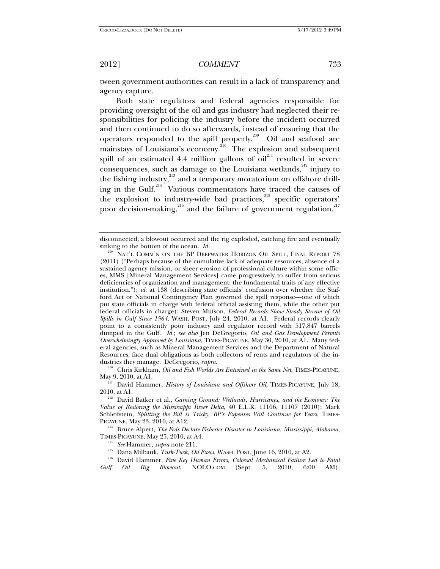tween government authorities can result in a lack of transparency and agency capture.

Both state regulators and federal agencies responsible for providing oversight of the oil and gas industry had neglected their responsibilities for policing the industry before the incident occurred and then continued to do so afterwards, instead of ensuring that the operators responded to the spill properly.209 Oil and seafood are mainstays of Louisiana's economy.<sup>210</sup> The explosion and subsequent spill of an estimated 4.4 million gallons of  $\delta$ <sup>211</sup> resulted in severe consequences, such as damage to the Louisiana wetlands, $^{212}$  injury to the fishing industry,<sup>213</sup> and a temporary moratorium on offshore drilling in the Gulf.<sup>214</sup> Various commentators have traced the causes of the explosion to industry-wide bad practices,<sup>215</sup> specific operators' poor decision-making, $^{216}$  and the failure of government regulation.<sup>217</sup>

dustries they manage. DeGregorio, *supra.*<br><sup>210</sup> Chris Kirkham, *Oil and Fish Worlds Are Entwined in the Same Net*, TIMES-PICAYUNE,<br>May 9, 2010, at A1.

 $\frac{211}{211}$  David Hammer, *History of Louisiana and Offshore Oil*, TIMES-PICAYUNE, July 18, 2010, at A1.

<sup>213</sup> Bruce Alpert, *The Feds Declare Fisheries Disaster in Louisiana, Mississippi, Alabama,* TIMES-PICAYUNE, May 25, 2010, at A4.

<sup>214</sup> See Hammer, *supra* note 211.<br><sup>215</sup> Dana Milbank, *Tusk-Tusk, Oil Execs*, WASH. POST, June 16, 2010, at A2.<br><sup>216</sup> David Hammer, *Five Key Human Errors, Colossal Mechanical Failure Led to Fatal Gulf Oil Rig Blowout*, NOLO.COM (Sept. 5, 2010, 6:00 AM),

disconnected, a blowout occurred and the rig exploded, catching fire and eventually sinking to the bottom of the ocean. *Id.*

<sup>&</sup>lt;sup>209</sup> NAT'L COMM'N ON THE BP DEEPWATER HORIZON OIL SPILL, FINAL REPORT 78 (2011) ("Perhaps because of the cumulative lack of adequate resources, absence of a sustained agency mission, or sheer erosion of professional culture within some offices, MMS [Mineral Management Services] came progressively to suffer from serious deficiencies of organization and management: the fundamental traits of any effective institution."); *id.* at 138 (describing state officials' confusion over whether the Stafford Act or National Contingency Plan governed the spill response—one of which put state officials in charge with federal official assisting them, while the other put federal officials in charge); Steven Mufson, *Federal Records Show Steady Stream of Oil Spills in Gulf Since 1964*, WASH. POST, July 24, 2010, at A1. Federal records clearly point to a consistently poor industry and regulator record with 517,847 barrels dumped in the Gulf. *Id.*; *see also* Jen DeGregorio, *Oil and Gas Development Permits Overwhelmingly Approved by Louisiana*, TIMES-PICAYUNE, May 30, 2010, at A1. Many federal agencies, such as Mineral Management Services and the Department of Natural Resources, face dual obligations as both collectors of rents and regulators of the in-

<sup>&</sup>lt;sup>212</sup> David Batker et al., *Gaining Ground: Wetlands, Hurricanes, and the Economy: The Value of Restoring the Mississippi River Delta*, 40 E.L.R. 11106, 11107 (2010); Mark Schleifstein, *Splitting the Bill is Tricky, BP's Expenses Will Continue for Years*, TIMES-PICAYUNE, May 23, 2010, at A12.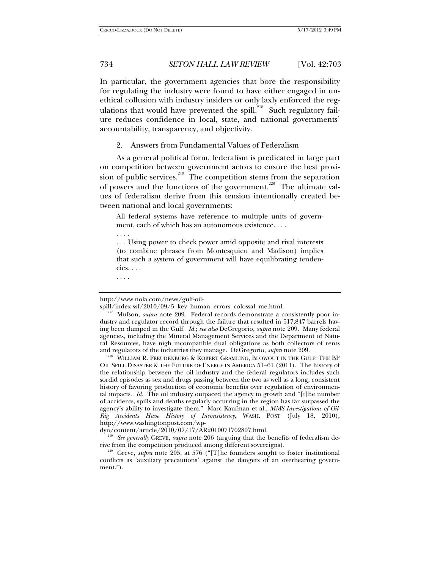In particular, the government agencies that bore the responsibility for regulating the industry were found to have either engaged in unethical collusion with industry insiders or only laxly enforced the regulations that would have prevented the spill. $^{218}$  Such regulatory failure reduces confidence in local, state, and national governments' accountability, transparency, and objectivity.

2. Answers from Fundamental Values of Federalism

As a general political form, federalism is predicated in large part on competition between government actors to ensure the best provision of public services.<sup>219</sup> The competition stems from the separation of powers and the functions of the government.<sup>220</sup> The ultimate values of federalism derive from this tension intentionally created between national and local governments:

All federal systems have reference to multiple units of government, each of which has an autonomous existence. . . .

. . . Using power to check power amid opposite and rival interests (to combine phrases from Montesquieu and Madison) implies that such a system of government will have equilibrating tendencies. . . .

. . . .

. . . .

http://www.nola.com/news/gulf-oil-

spill/index.ssf/2010/09/5\_key\_human\_errors\_colossal\_me.html. 217 Mufson, *supra* note 209. Federal records demonstrate a consistently poor industry and regulator record through the failure that resulted in 517,847 barrels having been dumped in the Gulf. *Id.*; *see also* DeGregorio, *supra* note 209. Many federal agencies, including the Mineral Management Services and the Department of Natural Resources, have nigh incompatible dual obligations as both collectors of rents and regulators of the industries they manage. DeGregorio, *supra* note  $209$ .

<sup>&</sup>lt;sup>218</sup> WILLIAM R. FREUDENBURG & ROBERT GRAMLING, BLOWOUT IN THE GULF: THE BP OIL SPILL DISASTER & THE FUTURE OF ENERGY IN AMERICA 51–61 (2011). The history of the relationship between the oil industry and the federal regulators includes such sordid episodes as sex and drugs passing between the two as well as a long, consistent history of favoring production of economic benefits over regulation of environmental impacts. *Id.* The oil industry outpaced the agency in growth and "[t]he number of accidents, spills and deaths regularly occurring in the region has far surpassed the agency's ability to investigate them." Marc Kaufman et al., *MMS Investigations of Oil-Rig Accidents Have History of Inconsistency*, WASH. POST (July 18, 2010), http://www.washingtonpost.com/wp-<br>dyn/content/article/2010/07/17/AR2010071702807.html.

<sup>&</sup>lt;sup>219</sup> See generally GREVE, *supra* note 206 (arguing that the benefits of federalism de-<br>rive from the competition produced among different sovereigns).

<sup>&</sup>lt;sup>220</sup> Greve, *supra* note 205, at 576 ("[T]he founders sought to foster institutional conflicts as 'auxiliary precautions' against the dangers of an overbearing government.").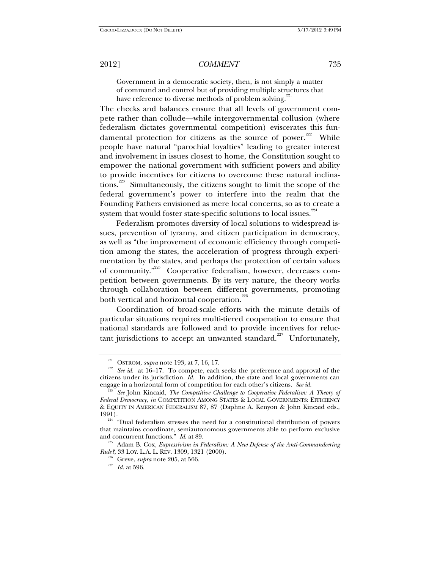Government in a democratic society, then, is not simply a matter of command and control but of providing multiple structures that have reference to diverse methods of problem solving.<sup>2</sup>

The checks and balances ensure that all levels of government compete rather than collude—while intergovernmental collusion (where federalism dictates governmental competition) eviscerates this fundamental protection for citizens as the source of power.<sup>222</sup> While people have natural "parochial loyalties" leading to greater interest and involvement in issues closest to home, the Constitution sought to empower the national government with sufficient powers and ability to provide incentives for citizens to overcome these natural inclinations.<sup>223</sup> Simultaneously, the citizens sought to limit the scope of the federal government's power to interfere into the realm that the Founding Fathers envisioned as mere local concerns, so as to create a system that would foster state-specific solutions to local issues.<sup>224</sup>

Federalism promotes diversity of local solutions to widespread issues, prevention of tyranny, and citizen participation in democracy, as well as "the improvement of economic efficiency through competition among the states, the acceleration of progress through experimentation by the states, and perhaps the protection of certain values of community."<sup>225</sup> Cooperative federalism, however, decreases competition between governments. By its very nature, the theory works through collaboration between different governments, promoting both vertical and horizontal cooperation.<sup>226</sup>

Coordination of broad-scale efforts with the minute details of particular situations requires multi-tiered cooperation to ensure that national standards are followed and to provide incentives for reluctant jurisdictions to accept an unwanted standard.<sup>227</sup> Unfortunately,

<sup>&</sup>lt;sup>221</sup> OSTROM, *supra* note 193, at 7, 16, 17.<br><sup>222</sup> See id. at 16–17. To compete, each seeks the preference and approval of the citizens under its jurisdiction. *Id.* In addition, the state and local governments can engage in a horizontal form of competition for each other's citizens. *See id.* 

<sup>223</sup> *See* John Kincaid, *The Competitive Challenge to Cooperative Federalism: A Theory of Federal Democracy*, *in* COMPETITION AMONG STATES & LOCAL GOVERNMENTS: EFFICIENCY & EQUITY IN AMERICAN FEDERALISM 87, 87 (Daphne A. Kenyon & John Kincaid eds.,

<sup>&</sup>lt;sup>224</sup> "Dual federalism stresses the need for a constitutional distribution of powers that maintains coordinate, semiautonomous governments able to perform exclusive and concurrent functions."  $Id.$  at 89.

<sup>&</sup>lt;sup>225</sup> Adam B. Cox, *Expressivism in Federalism: A New Defense of the Anti-Commandeering Rule?*, 33 LOY. L.A. L. REV. 1309, 1321 (2000).

<sup>&</sup>lt;sup>226</sup> Greve, *supra* note 205, at 566. <sup>227</sup> *Id.* at 596.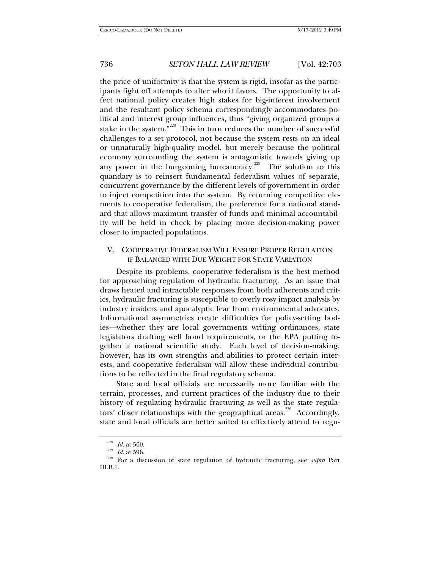the price of uniformity is that the system is rigid, insofar as the participants fight off attempts to alter who it favors. The opportunity to affect national policy creates high stakes for big-interest involvement and the resultant policy schema correspondingly accommodates political and interest group influences, thus "giving organized groups a stake in the system."<sup>228</sup> This in turn reduces the number of successful challenges to a set protocol, not because the system rests on an ideal or unnaturally high-quality model, but merely because the political economy surrounding the system is antagonistic towards giving up any power in the burgeoning bureaucracy.<sup>229</sup> The solution to this quandary is to reinsert fundamental federalism values of separate, concurrent governance by the different levels of government in order to inject competition into the system. By returning competitive elements to cooperative federalism, the preference for a national standard that allows maximum transfer of funds and minimal accountability will be held in check by placing more decision-making power closer to impacted populations.

## V. COOPERATIVE FEDERALISM WILL ENSURE PROPER REGULATION IF BALANCED WITH DUE WEIGHT FOR STATE VARIATION

Despite its problems, cooperative federalism is the best method for approaching regulation of hydraulic fracturing. As an issue that draws heated and intractable responses from both adherents and critics, hydraulic fracturing is susceptible to overly rosy impact analysis by industry insiders and apocalyptic fear from environmental advocates. Informational asymmetries create difficulties for policy-setting bodies—whether they are local governments writing ordinances, state legislators drafting well bond requirements, or the EPA putting together a national scientific study. Each level of decision-making, however, has its own strengths and abilities to protect certain interests, and cooperative federalism will allow these individual contributions to be reflected in the final regulatory schema.

State and local officials are necessarily more familiar with the terrain, processes, and current practices of the industry due to their history of regulating hydraulic fracturing as well as the state regulators' closer relationships with the geographical areas.<sup>230</sup> Accordingly, state and local officials are better suited to effectively attend to regu-

<sup>228</sup> *Id.* at 560. 229 *Id.* at 596. 230 For a discussion of state regulation of hydraulic fracturing, see *supra* Part III.B.1.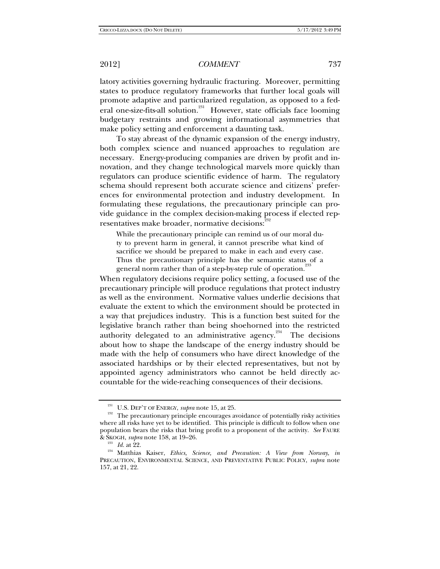latory activities governing hydraulic fracturing. Moreover, permitting states to produce regulatory frameworks that further local goals will promote adaptive and particularized regulation, as opposed to a federal one-size-fits-all solution.<sup>231</sup> However, state officials face looming budgetary restraints and growing informational asymmetries that make policy setting and enforcement a daunting task.

To stay abreast of the dynamic expansion of the energy industry, both complex science and nuanced approaches to regulation are necessary. Energy-producing companies are driven by profit and innovation, and they change technological marvels more quickly than regulators can produce scientific evidence of harm. The regulatory schema should represent both accurate science and citizens' preferences for environmental protection and industry development. In formulating these regulations, the precautionary principle can provide guidance in the complex decision-making process if elected representatives make broader, normative decisions:<sup>232</sup>

While the precautionary principle can remind us of our moral duty to prevent harm in general, it cannot prescribe what kind of sacrifice we should be prepared to make in each and every case. Thus the precautionary principle has the semantic status of a general norm rather than of a step-by-step rule of operation.<sup>2</sup>

When regulatory decisions require policy setting, a focused use of the precautionary principle will produce regulations that protect industry as well as the environment. Normative values underlie decisions that evaluate the extent to which the environment should be protected in a way that prejudices industry. This is a function best suited for the legislative branch rather than being shoehorned into the restricted authority delegated to an administrative agency.<sup>234</sup> The decisions about how to shape the landscape of the energy industry should be made with the help of consumers who have direct knowledge of the associated hardships or by their elected representatives, but not by appointed agency administrators who cannot be held directly accountable for the wide-reaching consequences of their decisions.

<sup>&</sup>lt;sup>231</sup> U.S. DEP'T OF ENERGY, *supra* note 15, at 25. 232 The precautionary principle encourages avoidance of potentially risky activities where all risks have yet to be identified. This principle is difficult to follow when one population bears the risks that bring profit to a proponent of the activity. *See* FAURE

<sup>&</sup>lt;sup>233</sup> Id. at 22.<br><sup>234</sup> Matthias Kaiser, *Ethics, Science, and Precaution: A View from Norway, in* PRECAUTION, ENVIRONMENTAL SCIENCE, AND PREVENTATIVE PUBLIC POLICY, *supra* note 157, at 21, 22.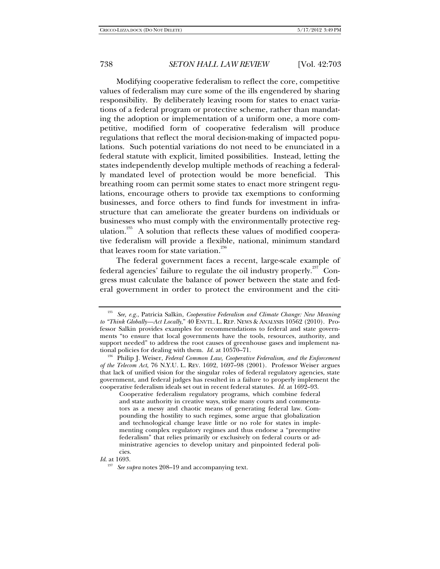Modifying cooperative federalism to reflect the core, competitive values of federalism may cure some of the ills engendered by sharing responsibility. By deliberately leaving room for states to enact variations of a federal program or protective scheme, rather than mandating the adoption or implementation of a uniform one, a more competitive, modified form of cooperative federalism will produce regulations that reflect the moral decision-making of impacted populations. Such potential variations do not need to be enunciated in a federal statute with explicit, limited possibilities. Instead, letting the states independently develop multiple methods of reaching a federally mandated level of protection would be more beneficial. This breathing room can permit some states to enact more stringent regulations, encourage others to provide tax exemptions to conforming businesses, and force others to find funds for investment in infrastructure that can ameliorate the greater burdens on individuals or businesses who must comply with the environmentally protective regulation.<sup>235</sup> A solution that reflects these values of modified cooperative federalism will provide a flexible, national, minimum standard that leaves room for state variation.<sup>236</sup>

The federal government faces a recent, large-scale example of federal agencies' failure to regulate the oil industry properly.<sup>237</sup> Congress must calculate the balance of power between the state and federal government in order to protect the environment and the citi-

*Id*. at 1693.

<sup>235</sup> *See, e.g.*, Patricia Salkin, *Cooperative Federalism and Climate Change: New Meaning to "Think Globally—Act Locally*," 40 ENVTL. L. REP. NEWS & ANALYSIS 10562 (2010). Professor Salkin provides examples for recommendations to federal and state governments "to ensure that local governments have the tools, resources, authority, and support needed" to address the root causes of greenhouse gases and implement national policies for dealing with them.  $Id$  at 10570–71.

<sup>&</sup>lt;sup>236</sup> Philip J. Weiser, *Federal Common Law, Cooperative Federalism, and the Enforcement of the Telecom Act*, 76 N.Y.U. L. REV. 1692, 1697–98 (2001). Professor Weiser argues that lack of unified vision for the singular roles of federal regulatory agencies, state government, and federal judges has resulted in a failure to properly implement the cooperative federalism ideals set out in recent federal statutes. *Id.* at 1692–93.

Cooperative federalism regulatory programs, which combine federal and state authority in creative ways, strike many courts and commentators as a messy and chaotic means of generating federal law. Compounding the hostility to such regimes, some argue that globalization and technological change leave little or no role for states in implementing complex regulatory regimes and thus endorse a "preemptive federalism" that relies primarily or exclusively on federal courts or administrative agencies to develop unitary and pinpointed federal policies.

See *supra* notes 208–19 and accompanying text.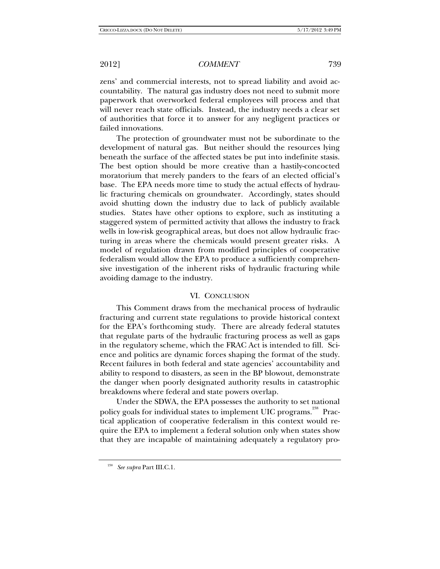zens' and commercial interests, not to spread liability and avoid accountability. The natural gas industry does not need to submit more paperwork that overworked federal employees will process and that will never reach state officials. Instead, the industry needs a clear set of authorities that force it to answer for any negligent practices or failed innovations.

The protection of groundwater must not be subordinate to the development of natural gas. But neither should the resources lying beneath the surface of the affected states be put into indefinite stasis. The best option should be more creative than a hastily-concocted moratorium that merely panders to the fears of an elected official's base. The EPA needs more time to study the actual effects of hydraulic fracturing chemicals on groundwater. Accordingly, states should avoid shutting down the industry due to lack of publicly available studies. States have other options to explore, such as instituting a staggered system of permitted activity that allows the industry to frack wells in low-risk geographical areas, but does not allow hydraulic fracturing in areas where the chemicals would present greater risks. A model of regulation drawn from modified principles of cooperative federalism would allow the EPA to produce a sufficiently comprehensive investigation of the inherent risks of hydraulic fracturing while avoiding damage to the industry.

## VI. CONCLUSION

This Comment draws from the mechanical process of hydraulic fracturing and current state regulations to provide historical context for the EPA's forthcoming study. There are already federal statutes that regulate parts of the hydraulic fracturing process as well as gaps in the regulatory scheme, which the FRAC Act is intended to fill. Science and politics are dynamic forces shaping the format of the study. Recent failures in both federal and state agencies' accountability and ability to respond to disasters, as seen in the BP blowout, demonstrate the danger when poorly designated authority results in catastrophic breakdowns where federal and state powers overlap.

Under the SDWA, the EPA possesses the authority to set national policy goals for individual states to implement UIC programs.<sup>238</sup> Practical application of cooperative federalism in this context would require the EPA to implement a federal solution only when states show that they are incapable of maintaining adequately a regulatory pro-

<sup>238</sup> *See supra* Part III.C.1.